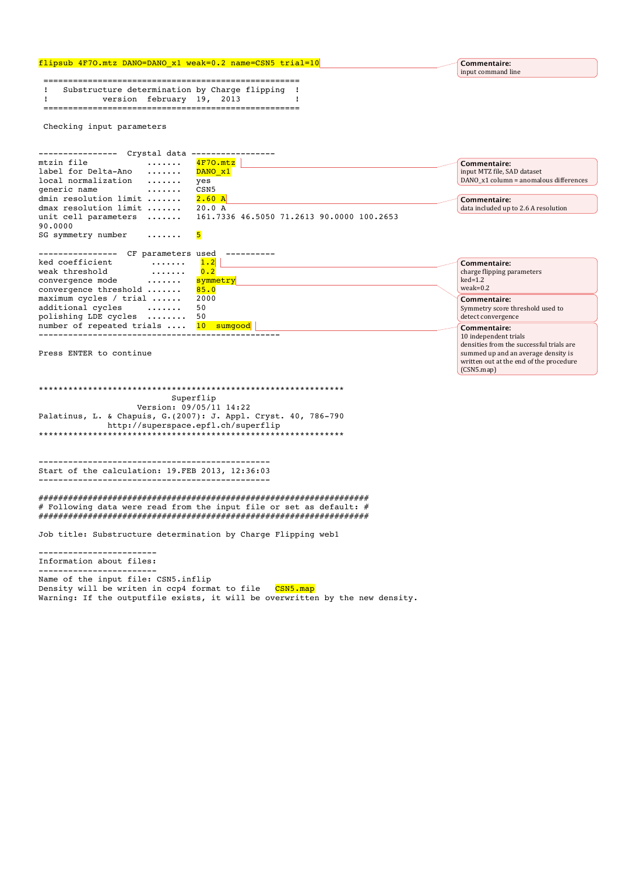## flipsub 4F7O.mtz DANO=DANO\_x1 weak=0.2 name=CSN5 trial=10

 ==================================================== ! Substructure determination by Charge flipping ! ! version february 19, 2013 ! ====================================================

Checking input parameters

|                       | Crystal data       |                                                                 |                                        |
|-----------------------|--------------------|-----------------------------------------------------------------|----------------------------------------|
| mtzin file            | . <b>.</b>         | $4F70.$ mtz                                                     | Commentaire:                           |
| label for Delta-Ano   | $\cdots$           | DANO x1                                                         | input MTZ file, SAD dataset            |
| local normalization   | .                  | yes                                                             | DANO x1 column = anomalous differences |
| generic name          | .                  | CSN <sub>5</sub>                                                |                                        |
| dmin resolution limit |                    | 2.60A                                                           | Commentaire:                           |
| dmax resolution limit |                    | 20.0 A                                                          | data included up to 2.6 A resolution   |
|                       |                    | unit cell parameters  161.7336 46.5050 71.2613 90.0000 100.2653 |                                        |
| 90,0000               |                    |                                                                 |                                        |
| SG symmetry number    | . 5                |                                                                 |                                        |
|                       |                    |                                                                 |                                        |
|                       | CF parameters used |                                                                 |                                        |

| $ct$ parameters as $ct$                |          |                                          |  |
|----------------------------------------|----------|------------------------------------------|--|
| ked coefficient<br>.                   | 1.2      | Commentaire:                             |  |
| weak threshold<br>.                    | 0.2      | charge flipping parameters               |  |
| convergence mode                       | symmetry | $ked=1.2$                                |  |
| convergence threshold                  | 85.0     | $weak=0.2$                               |  |
| maximum cycles / trial $\ldots$ . 2000 |          | Commentaire:                             |  |
| additional cycles                      | 50       | Symmetry score threshold used to         |  |
| polishing LDE cycles  50               |          | detect convergence                       |  |
| number of repeated trials  10 sumgood  |          | Commentaire:                             |  |
|                                        |          | 10 independent trials                    |  |
|                                        |          | densities from the successful trials are |  |

Press ENTER to continue

\*\*\*\*\*\*\*\*\*\*\*\*\*\*\*\*\*\*\*\*\*\*\*\*\*\*\*\*\*\*\*\*\*\*\*\*\*\*\*\*\*\*\*\*\*\*\*\*\*\*\*\*\*\*\*\*\*\*\*\*\*\* Superflip Version: 09/05/11 14:22 Palatinus, L. & Chapuis, G.(2007): J. Appl. Cryst. 40, 786-790 http://superspace.epfl.ch/superflip \*\*\*\*\*\*\*\*\*\*\*\*\*\*\*\*\*\*\*\*\*\*\*\*\*\*\*\*\*\*\*\*\*\*\*\*\*\*\*\*\*\*\*\*\*\*\*\*\*\*\*\*\*\*\*\*\*\*\*\*\*\*

----------------------------------------------- Start of the calculation: 19.FEB 2013, 12:36:03 -----------------------------------------------

################################################################### # Following data were read from the input file or set as default: # ###################################################################

Job title: Substructure determination by Charge Flipping web1

------------------------ Information about files: ------------------------ Name of the input file: CSN5.inflip Density will be writen in ccp4 format to file CSN5.map Warning: If the outputfile exists, it will be overwritten by the new density.

**Commentaire:**  input command line

summed up and an average density is written out at the end of the procedure

(CSN5.map)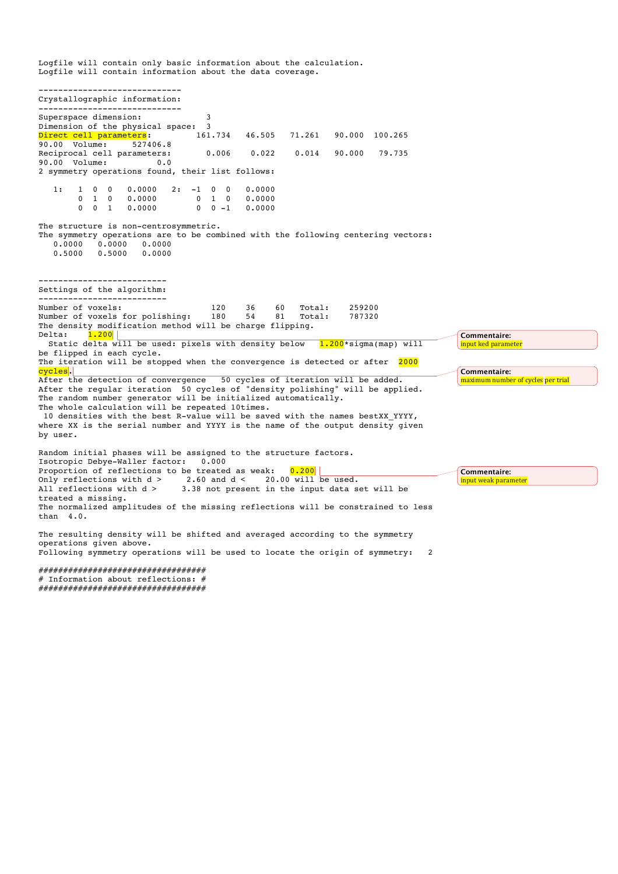Logfile will contain only basic information about the calculation. Logfile will contain information about the data coverage. ----------------------------- Crystallographic information: ----------------------------- Superspace dimension: 3 Dimension of the physical space:  $3 \text{ hirect}$  call parameters.  $161.734$ Direct cell parameters: 161.734 46.505 71.261 90.000 100.265 90.00 Volume: 527406.8 Reciprocal cell parameters: 0.006 0.022 0.014 90.000 79.735<br>90.00 Volume: 0.0 90.00 Volume: 0.0 2 symmetry operations found, their list follows:  $\begin{array}{cccccccc} 1: & & 1 & & 0 & & 0 & & 0.0000 & & 2: & -1 & & 0 & & 0 & & 0.0000 \\ & & 0 & & 1 & & 0 & & 0.0000 & & & & 0 & & 1 & & 0 & & 0.0000 \\ & & & 0 & & 1 & & 0.0000 & & & & & 0 & & 0 & -1 & & 0.0000 \end{array}$  0 1 0 0.0000 0 1 0 0.0000 0 0 1 0.0000 0 0 -1 0.0000 The structure is non-centrosymmetric. The symmetry operations are to be combined with the following centering vectors:<br>0.0000 0.0000 0.0000  $0.\overline{0000}$   $0.\overline{0000}$   $0.\overline{0000}$   $0.5000$   $0.0000$  0.5000 0.5000 0.0000 -------------------------- Settings of the algorithm: -------------------------- Number of voxels: 120 36 60 Total: 259200 Number of voxels for polishing: 180 54 81 Total: 787320 The density modification method will be charge flipping. Delta:  $\frac{1.200}{}$  Static delta will be used: pixels with density below 1.200\*sigma(map) will be flipped in each cycle. The iteration will be stopped when the convergence is detected or after 2000 cycles. After the detection of convergence 50 cycles of iteration will be added. After the regular iteration 50 cycles of "density polishing" will be applied. The random number generator will be initialized automatically. The whole calculation will be repeated 10times. 10 densities with the best R-value will be saved with the names bestXX\_YYYY, where XX is the serial number and YYYY is the name of the output density given by user. Random initial phases will be assigned to the structure factors. Isotropic Debye-Waller factor: 0.000 Proportion of reflections to be treated as weak:  $0.200$ Only reflections with  $d >$  2.60 and  $d <$  20.00 will be used.<br>All reflections with  $d >$  3.38 not present in the input data s 3.38 not present in the input data set will be treated a missing. The normalized amplitudes of the missing reflections will be constrained to less than 4.0. The resulting density will be shifted and averaged according to the symmetry operations given above. Following symmetry operations will be used to locate the origin of symmetry: 2 ################################## # Information about reflections: # **Commentaire: input ked parameter Commentaire:**  maximum number of cycles per trial **Commentaire:**  input weak parameter

##################################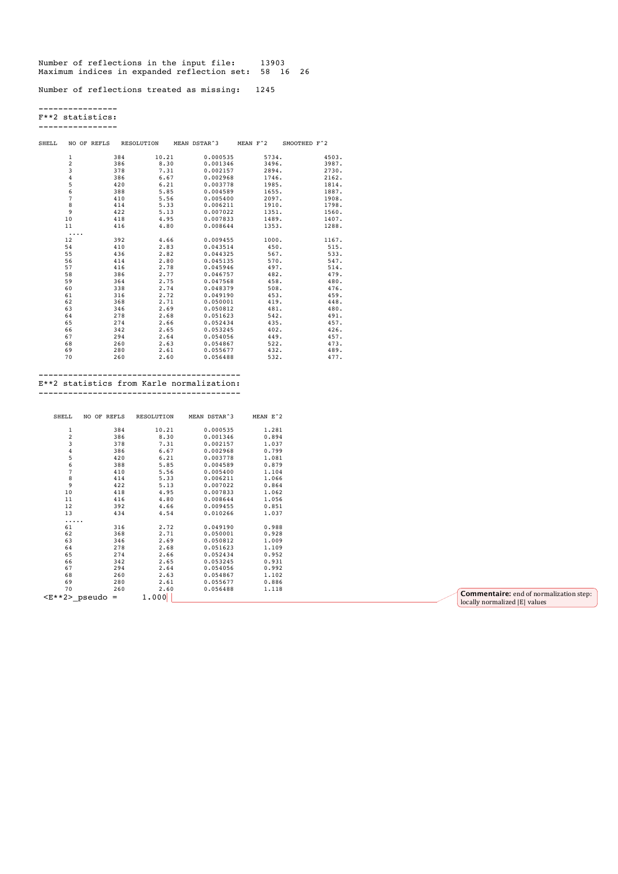Number of reflections in the input file: 13903 Maximum indices in expanded reflection set: 58 16 26

Number of reflections treated as missing: 1245

---------------- F\*\*2 statistics:

----------------

| SHELL |                | RESOLUTION<br>NO OF REFLS |       | MEAN DSTAR^3 | MEAN F^2 | SMOOTHED F^2 |
|-------|----------------|---------------------------|-------|--------------|----------|--------------|
|       | 1              | 384                       | 10.21 | 0.000535     | 5734.    | 4503.        |
|       | 2              | 386                       | 8.30  | 0.001346     | 3496.    | 3987.        |
|       | 3              | 378                       | 7.31  | 0.002157     | 2894.    | 2730.        |
|       | 4              | 386                       | 6.67  | 0.002968     | 1746.    | 2162.        |
|       | 5              | 420                       | 6.21  | 0.003778     | 1985.    | 1814.        |
|       | 6              | 388                       | 5.85  | 0.004589     | 1655.    | 1887.        |
|       | $\overline{7}$ | 410                       | 5.56  | 0.005400     | 2097.    | 1908.        |
|       | 8              | 414                       | 5.33  | 0.006211     | 1910.    | 1798.        |
|       | 9              | 422                       | 5.13  | 0.007022     | 1351.    | 1560.        |
|       | 10             | 418                       | 4.95  | 0.007833     | 1489.    | 1407.        |
|       | 11             | 416                       | 4.80  | 0.008644     | 1353.    | 1288.        |
|       | .              |                           |       |              |          |              |
|       | 12             | 392                       | 4.66  | 0.009455     | 1000.    | 1167.        |
|       | 54             | 410                       | 2.83  | 0.043514     | 450.     | 515.         |
|       | 55             | 436                       | 2.82  | 0.044325     | 567.     | 533.         |
|       | 56             | 414                       | 2.80  | 0.045135     | 570.     | 547.         |
|       | 57             | 416                       | 2.78  | 0.045946     | 497.     | 514.         |
|       | 58             | 386                       | 2.77  | 0.046757     | 482.     | 479.         |
|       | 59             | 364                       | 2.75  | 0.047568     | 458.     | 480.         |
|       | 60             | 338                       | 2.74  | 0.048379     | 508.     | 476.         |
|       | 61             | 316                       | 2.72  | 0.049190     | 453.     | 459.         |
|       | 62             | 368                       | 2.71  | 0.050001     | 419.     | 448.         |
|       | 63             | 346                       | 2.69  | 0.050812     | 481.     | 480.         |
|       | 64             | 278                       | 2.68  | 0.051623     | 542.     | 491.         |
|       | 65             | 274                       | 2.66  | 0.052434     | 435.     | 457.         |
|       | 66             | 342                       | 2.65  | 0.053245     | 402.     | 426.         |
|       | 67             | 294                       | 2.64  | 0.054056     | 449.     | 457.         |
|       | 68             | 260                       | 2.63  | 0.054867     | 522.     | 473.         |
|       | 69             | 280                       | 2.61  | 0.055677     | 432.     | 489.         |
|       | 70             | 260                       | 2.60  | 0.056488     | 532.     | 477.         |
|       |                |                           |       |              |          |              |

----------------------------------------- E\*\*2 statistics from Karle normalization:

-----------------------------------------

| SHELL          | NO OF REFLS     | RESOLUTION | MEAN DSTAR^3 | MEAN E^2 |                                                                                 |
|----------------|-----------------|------------|--------------|----------|---------------------------------------------------------------------------------|
|                | 384             | 10.21      | 0.000535     | 1.281    |                                                                                 |
| $\overline{c}$ | 386             | 8.30       | 0.001346     | 0.894    |                                                                                 |
| 3              | 378             | 7.31       | 0.002157     | 1.037    |                                                                                 |
|                | 386             | 6.67       | 0.002968     | 0.799    |                                                                                 |
|                | 420             | 6.21       | 0.003778     | 1.081    |                                                                                 |
|                | 388             | 5.85       | 0.004589     | 0.879    |                                                                                 |
|                | 410             | 5.56       | 0.005400     | 1.104    |                                                                                 |
| 8              | 414             | 5.33       | 0.006211     | 1.066    |                                                                                 |
| 9              | 422             | 5.13       | 0.007022     | 0.864    |                                                                                 |
| 10             | 418             | 4.95       | 0.007833     | 1.062    |                                                                                 |
| 11             | 416             | 4.80       | 0.008644     | 1.056    |                                                                                 |
| 12             | 392             | 4.66       | 0.009455     | 0.851    |                                                                                 |
| 13             | 434             | 4.54       | 0.010266     | 1.037    |                                                                                 |
| .              |                 |            |              |          |                                                                                 |
| 61             | 316             | 2.72       | 0.049190     | 0.988    |                                                                                 |
| 62             | 368             | 2.71       | 0.050001     | 0.928    |                                                                                 |
| 63             | 346             | 2.69       | 0.050812     | 1.009    |                                                                                 |
| 64             | 278             | 2.68       | 0.051623     | 1.109    |                                                                                 |
| 65             | 274             | 2.66       | 0.052434     | 0.952    |                                                                                 |
| 66             | 342             | 2.65       | 0.053245     | 0.931    |                                                                                 |
| 67             | 294             | 2.64       | 0.054056     | 0.992    |                                                                                 |
| 68             | 260             | 2.63       | 0.054867     | 1.102    |                                                                                 |
| 69             | 280             | 2.61       | 0.055677     | 0.886    |                                                                                 |
| 70             | 260             | 2.60       | 0.056488     | 1.118    |                                                                                 |
|                | $E*2>_pseudo =$ | 1.000      |              |          | <b>Commentaire:</b> end of normalization step:<br>locally normalized IEL values |

locally normalized  $|E|$  values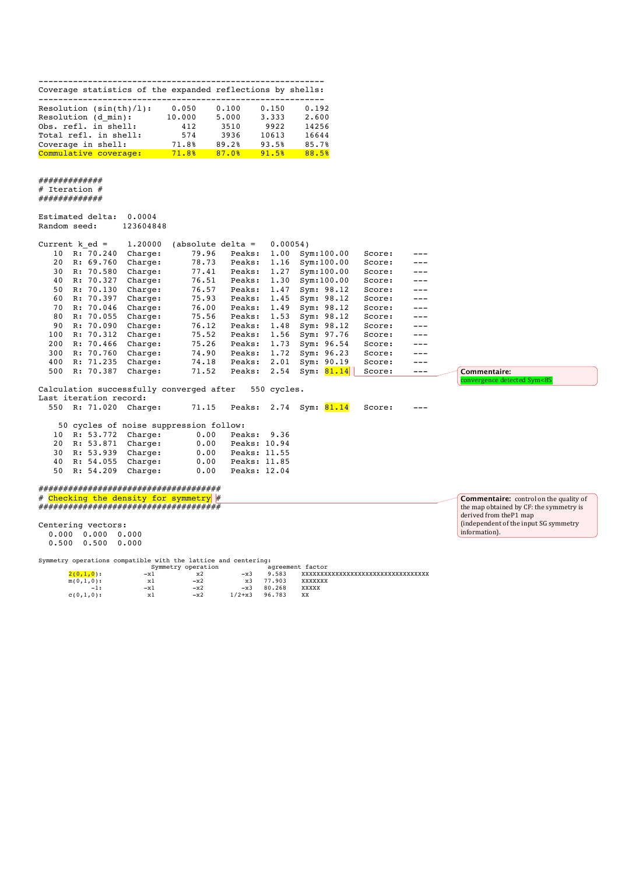|  |  | Coverage statistics of the expanded reflections by shells: |  |
|--|--|------------------------------------------------------------|--|

| Resolution $(sin(th)/l)$ : | 0.050  | 0.100 | 0.150 | 0.192 |
|----------------------------|--------|-------|-------|-------|
| Resolution (d min):        | 10.000 | 5,000 | 3.333 | 2.600 |
| Obs. refl. in shell:       | 412    | 3510  | 9922  | 14256 |
| Total refl. in shell:      | 574    | 3936  | 10613 | 16644 |
| Coverage in shell:         | 71.8%  | 89.2% | 93.5% | 85.7% |
| Commulative coverage:      | 71.8%  | 87.0% | 91.5% | 88.5% |

#### ############# # Iteration # ..<br>##############

|              | Estimated delta: | 0.0004    |
|--------------|------------------|-----------|
| Random seed: |                  | 123604848 |

| Current k ed = |           | 1,20000 | $(absolute delta =$ |        | 0.00054 |               |        |         |
|----------------|-----------|---------|---------------------|--------|---------|---------------|--------|---------|
| 10             | R: 70.240 | Charge: | 79.96               | Peaks: | 1.00    | Svm:100.00    | Score: | ---     |
| 20             | R: 69.760 | Charge: | 78.73               | Peaks: | 1.16    | Svm:100.00    | Score: | ---     |
| 30             | R: 70.580 | Charge: | 77.41               | Peaks: | 1.27    | Svm:100.00    | Score: | $---$   |
| 40             | R: 70.327 | Charge: | 76.51               | Peaks: | 1.30    | Svm:100.00    | Score: | $- - -$ |
| 50             | R: 70.130 | Charge: | 76.57               | Peaks: | 1.47    | Sym: 98.12    | Score: | $---$   |
| 60             | R: 70.397 | Charge: | 75.93               | Peaks: | 1.45    | Sym: 98.12    | Score: | $- - -$ |
| 70             | R: 70.046 | Charge: | 76.00               | Peaks: | 1.49    | Sym: 98.12    | Score: | $---$   |
| 80             | R: 70.055 | Charge: | 75.56               | Peaks: | 1.53    | Sym: 98.12    | Score: | $- - -$ |
| 90             | R: 70.090 | Charge: | 76.12               | Peaks: | 1.48    | Sym: 98.12    | Score: | $---$   |
| 100            | R: 70.312 | Charge: | 75.52               | Peaks: | 1.56    | Sym: 97.76    | Score: | $- - -$ |
| 200            | R: 70.466 | Charge: | 75.26               | Peaks: | 1.73    | Sym: 96.54    | Score: | $---$   |
| 300            | R: 70.760 | Charge: | 74.90               | Peaks: | 1.72    | Sym: 96.23    | Score: | $---$   |
| 400            | R: 71.235 | Charge: | 74.18               | Peaks: | 2.01    | 90.19<br>Sym: | Score: | $---$   |
| 500            | R: 70.387 | Charge: | 71.52               | Peaks: | 2.54    | 81.14<br>Sym: | Score: | ---     |

Calculation successfully converged after 550 cycles. Last iteration record:<br>550 R: 71.020 Charge:

|  | Last iteration record: |                                        |                   |              |                              |        |     |
|--|------------------------|----------------------------------------|-------------------|--------------|------------------------------|--------|-----|
|  |                        | 550 R: 71.020 Charge:                  |                   |              | 71.15 Peaks: 2.74 Sym: 81.14 | Score: | $-$ |
|  |                        |                                        |                   |              |                              |        |     |
|  |                        | 50 cycles of noise suppression follow: |                   |              |                              |        |     |
|  |                        | 10 R: 53.772 Charge:                   | 0.00              | Peaks: 9.36  |                              |        |     |
|  |                        | 20 R: 53.871 Charge:                   | 0.00 Peaks: 10.94 |              |                              |        |     |
|  |                        | 30 R: 53.939 Charge:                   | 0.00              | Peaks: 11.55 |                              |        |     |
|  |                        | 40 R: 54.055 Charge:                   | 0.00              | Peaks: 11.85 |                              |        |     |
|  |                        | 50 R: 54.209 Charge:                   | 0.00              | Peaks: 12.04 |                              |        |     |
|  |                        |                                        |                   |              |                              |        |     |

#### ##################################### # Checking the density for symmetry # #####################################

Centering vectors: 0.000 0.000 0.000 0.500 0.500 0.000

Symmetry operations compatible with the lattice and centering:

|              |       | Symmetry operation |            |        | agreement factor               |
|--------------|-------|--------------------|------------|--------|--------------------------------|
| $2(0,1,0)$ : | $-x1$ | x2                 | $-x3$      | 9.583  | xxxxxxxxxxxxxxxxxxxxxxxxxxxxxx |
| $m(0,1,0)$ : | хl    | $-x2$              | x3         | 77.903 | XXXXXXX                        |
| $-1:$        | -x1   | $-x2$              | $-x3$      | 80.268 | XXXXX                          |
| $c(0,1,0)$ : | x1    | $-x2$              | $1/2 + x3$ | 96.783 | XX                             |

**Commentaire:** control on the quality of the map obtained by CF: the symmetry is derived from theP1 map (independent of the input SG symmetry information).

**Commentaire:** 

onvergence detected Sym<85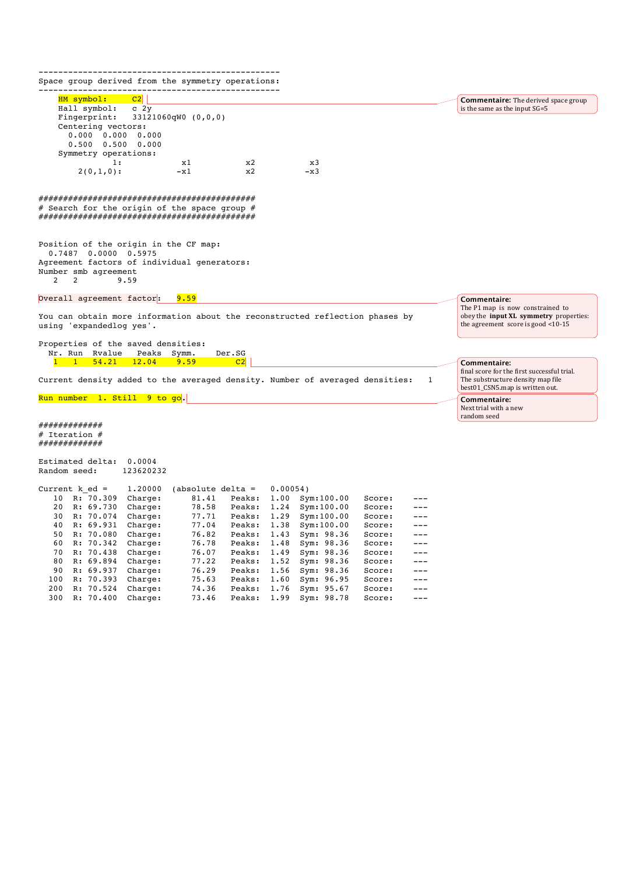------------------------------------------------- Space group derived from the symmetry operations: ------------------------------------------------- HM symbol: C2 Hall symbol: c 2y<br>Fingerprint: 3312  $33121060qW0 (0,0,0)$  Centering vectors: 0.000 0.000 0.000 0.500 0.500 0.000 Symmetry operations:<br>1: 1: x1 x2 x3  $2(0,1,0):$   $-x1$   $x2$   $-x3$ ############################################ # Search for the origin of the space group # ############################################ Position of the origin in the CF map: 0.7487 0.0000 0.5975 Agreement factors of individual generators: Number smb agreement<br>2 2 3 9.59 9.59 Overall agreement factor: 9.59 You can obtain more information about the reconstructed reflection phases by using 'expandedlog yes'. Properties of the saved densities: Nr. Run Rvalue Peaks Symm. Der.SG<br>1 1 54.21 12.04 9.59 C2  $1$  1 54.21 12.04 9.59 Current density added to the averaged density. Number of averaged densities: 1 Run number 1. Still 9 to go. ############# # Iteration # ############# Estimated delta: 0.0004 Random seed: 123620232 Current k\_ed = 1.20000 (absolute delta = 0.00054)<br>10 R: 70.309 Charge: 81.41 Peaks: 1.00 Sy 10 R: 70.309 Charge: 81.41 Peaks: 1.00 Sym:100.00 Score: ---<br>20 R: 69.730 Charge: 78.58 Peaks: 1.24 Sym:100.00 Score: --- 20 R: 69.730 Charge: 78.58 Peaks: 1.24 Sym:100.00 Score: --- 30 R: 70.074 Charge: 77.71 Peaks: 1.29 Sym:100.00 Score: --- 40 R: 69.931 Charge: 77.04 Peaks: 1.38 Sym:100.00 Score: --- 50 R: 70.080 Charge: 76.82 Peaks: 1.43 Sym: 98.36 Score: --- 60 R: 70.342 Charge: 76.78 Peaks: 1.48 Sym: 98.36 Score: --- 70 R: 70.438 Charge: 76.07 Peaks: 1.49 Sym: 98.36 Score: --- 80 R: 69.894 Charge: 77.22 Peaks: 1.52 Sym: 98.36 Score: --- 90 R: 69.937 Charge: 76.29<br>100 R: 70.393 Charge: 75.63 100 R: 70.393 Charge: 75.63 Peaks: 1.60 Sym: 96.95 Score: ---<br>200 R: 70.524 Charge: 74.36 Peaks: 1.76 Sym: 95.67 Score: ---<br>300 R: 70.400 Charge: 73.46 Peaks: 1.99 Sym: 98.78 Score: --- 200 R: 70.524 Charge: 74.36 Peaks: 1.76 Sym: 95.67 Score: --- **Commentaire:** The derived space group is the same as the input SG=5 **Commentaire:**  The P1 map is now constrained to obey the **input XL** symmetry properties: the agreement score is good  $<$ 10-15 **Commentaire:**  final score for the first successful trial. The substructure density map file best01\_CSN5.map is written out. **Commentaire:**  Next trial with a new random seed

300 R: 70.400 Charge: 73.46 Peaks: 1.99 Sym: 98.78 Score: ---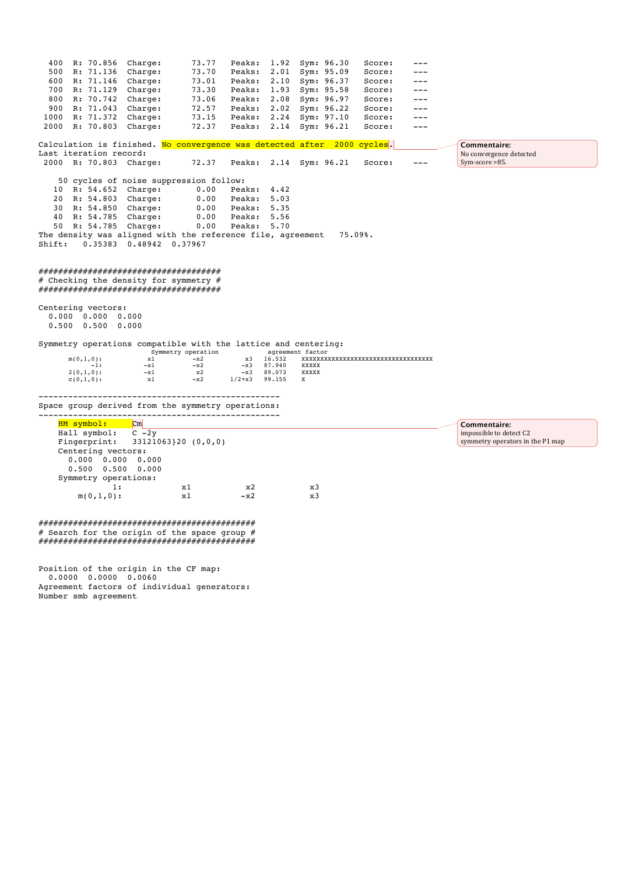|        | R: 70.856 Charge:                                                                                                 |                                                                                                                           |                                            | Peaks: 1.92 Sym: 96.30 |                            |                                                                         |                                    |       |                                                             |
|--------|-------------------------------------------------------------------------------------------------------------------|---------------------------------------------------------------------------------------------------------------------------|--------------------------------------------|------------------------|----------------------------|-------------------------------------------------------------------------|------------------------------------|-------|-------------------------------------------------------------|
| 500    | R: 71.136                                                                                                         | Charge:                                                                                                                   | 73.70                                      | Peaks:                 |                            | 2.01 Sym: 95.09                                                         | Score:                             |       |                                                             |
| 600    | R: 71.146                                                                                                         | Charge:                                                                                                                   | 73.01                                      |                        |                            | Peaks: 2.10 Sym: 96.37                                                  | Score:                             |       |                                                             |
|        | 700 R: 71.129                                                                                                     | Charge:                                                                                                                   | 73.30                                      | Peaks:                 |                            | 1.93 Sym: 95.58                                                         | Score:                             | ---   |                                                             |
| 800    | R: 70.742                                                                                                         | Charge:                                                                                                                   | 73.06                                      |                        |                            | Peaks: 2.08 Sym: 96.97                                                  | Score:                             | $---$ |                                                             |
| 900    | R: 71.043                                                                                                         | Charge:                                                                                                                   | 72.57                                      | Peaks:                 |                            | 2.02 Sym: 96.22                                                         | Score:                             | $---$ |                                                             |
| 1000   | R: 71.372                                                                                                         | Charge:                                                                                                                   | 73.15                                      | Peaks:                 |                            | 2.24 Sym: 97.10                                                         | Score:                             | $---$ |                                                             |
| 2000   | R: 70.803                                                                                                         | Charge:                                                                                                                   | 72.37                                      |                        |                            | Peaks: 2.14 Sym: 96.21                                                  | Score:                             | $---$ |                                                             |
|        |                                                                                                                   |                                                                                                                           |                                            |                        |                            | Calculation is finished. No convergence was detected after 2000 cycles. |                                    |       | Commentaire:                                                |
|        | Last iteration record:                                                                                            |                                                                                                                           |                                            |                        |                            |                                                                         |                                    |       | No convergence detected                                     |
|        | 2000 R: 70.803 Charge:                                                                                            |                                                                                                                           | 72.37                                      |                        |                            | Peaks: 2.14 Sym: 96.21                                                  | Score:                             |       | Sym-score >85.                                              |
|        |                                                                                                                   | 50 cycles of noise suppression follow:                                                                                    |                                            |                        |                            |                                                                         |                                    |       |                                                             |
|        | 10 R: 54.652 Charge:                                                                                              |                                                                                                                           | 0.00                                       | Peaks: 4.42            |                            |                                                                         |                                    |       |                                                             |
|        | 20 R: 54.803 Charge:                                                                                              |                                                                                                                           | 0.00                                       | Peaks: 5.03            |                            |                                                                         |                                    |       |                                                             |
|        | 30 R: 54.850 Charge:                                                                                              |                                                                                                                           | 0.00                                       | Peaks: 5.35            |                            |                                                                         |                                    |       |                                                             |
|        | 40 R: 54.785 Charge:                                                                                              |                                                                                                                           | 0.00                                       | Peaks: 5.56            |                            |                                                                         |                                    |       |                                                             |
|        | 50 R: 54.785 Charge:                                                                                              |                                                                                                                           | 0.00                                       | Peaks: 5.70            |                            |                                                                         |                                    |       |                                                             |
|        |                                                                                                                   | The density was aligned with the reference file, agreement                                                                |                                            |                        |                            |                                                                         | 75.09%                             |       |                                                             |
| Shift: |                                                                                                                   | 0.35383 0.48942 0.37967                                                                                                   |                                            |                        |                            |                                                                         |                                    |       |                                                             |
|        |                                                                                                                   | ######################################<br># Checking the density for symmetry #<br>###################################### |                                            |                        |                            |                                                                         |                                    |       |                                                             |
|        | Centering vectors:<br>$0.000$ $0.000$ $0.000$<br>$0.500$ $0.500$ $0.000$<br>$m(0,1,0)$ :<br>$-1:$<br>$2(0,1,0)$ : | Symmetry operations compatible with the lattice and centering:<br>x1<br>$-x1$<br>$-x1$                                    | Symmetry operation<br>$-x2$<br>$-x2$<br>x2 | х3<br>$-x3$<br>$-x3$   | 16.532<br>87.940<br>89.073 | agreement factor<br>XXXXX<br><b>XXXXX</b>                               | XXXXXXXXXXXXXXXXXXXXXXXXXXXXXXXXXX |       |                                                             |
|        | $c(0,1,0)$ :                                                                                                      | x1                                                                                                                        | $-x2$                                      | $1/2 + x3$             | 99.155                     | x                                                                       |                                    |       |                                                             |
|        |                                                                                                                   | Space group derived from the symmetry operations:                                                                         |                                            |                        |                            |                                                                         |                                    |       |                                                             |
|        | HM symbol:                                                                                                        | $\mathsf{Cm}$                                                                                                             |                                            |                        |                            |                                                                         |                                    |       | Commentaire:                                                |
|        | Hall symbol:<br>Fingerprint:<br>Centering vectors:<br>$0.000 \t 0.000 \t 0.000$<br>$0.500$ $0.500$ $0.000$        | $C - 2y$                                                                                                                  | $33121063$ }20 (0,0,0)                     |                        |                            |                                                                         |                                    |       | impossible to detect C2<br>symmetry operators in the P1 map |
|        | Symmetry operations:                                                                                              |                                                                                                                           |                                            |                        |                            |                                                                         |                                    |       |                                                             |
|        | 1:<br>$m(0,1,0)$ :                                                                                                |                                                                                                                           | x1<br>x1                                   | x2<br>$-x2$            |                            | x3<br>x3                                                                |                                    |       |                                                             |

############################################  $\#$  Search for the origin of the space group  $\#$ ############################################

Position of the origin in the CF map: 0.0000 0.0000 0.0060 Agreement factors of individual generators: Number smb agreement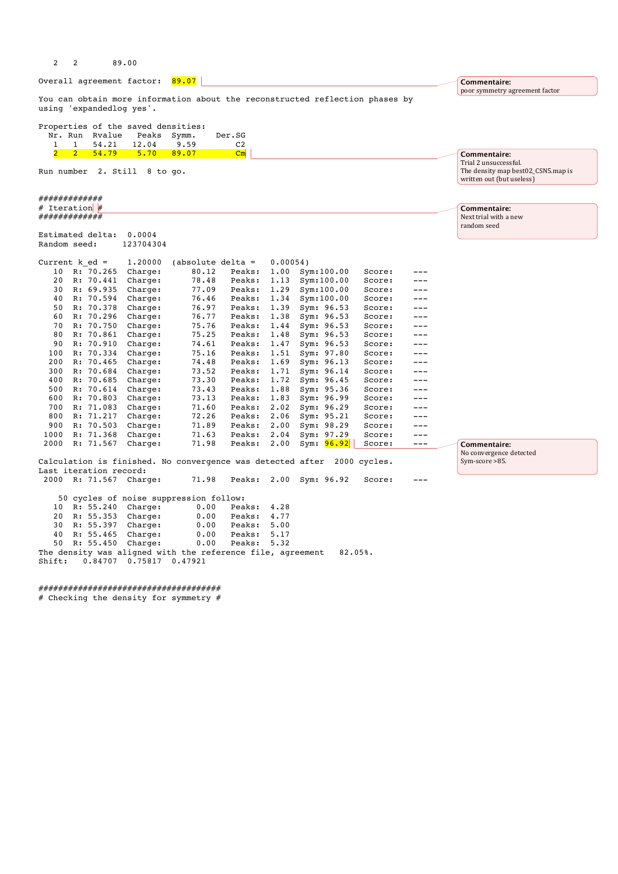| $\overline{c}$                | 2              |                        | 89.00                                                |                                                                              |                          |              |                          |                  |              |                                                                                          |
|-------------------------------|----------------|------------------------|------------------------------------------------------|------------------------------------------------------------------------------|--------------------------|--------------|--------------------------|------------------|--------------|------------------------------------------------------------------------------------------|
|                               |                |                        | Overall agreement factor: 89.07                      |                                                                              |                          |              |                          |                  |              | Commentaire:                                                                             |
|                               |                |                        |                                                      |                                                                              |                          |              |                          |                  |              | poor symmetry agreement factor                                                           |
|                               |                |                        | using 'expandedlog yes'.                             | You can obtain more information about the reconstructed reflection phases by |                          |              |                          |                  |              |                                                                                          |
| Nr. Run<br>$\mathbf{1}$       | $\mathbf{1}$   | Rvalue<br>54.21        | Properties of the saved densities:<br>Peaks<br>12.04 | Symm.<br>9.59                                                                | Der.SG<br>C <sub>2</sub> |              |                          |                  |              |                                                                                          |
| $\overline{2}$                | $\overline{2}$ | 54.79                  | 5.70                                                 | 89.07                                                                        | $\mathbf{C}\mathbf{m}$   |              |                          |                  |              | Commentaire:                                                                             |
|                               |                |                        | Run number 2. Still 8 to go.                         |                                                                              |                          |              |                          |                  |              | Trial 2 unsuccessful.<br>The density map best02_CSN5.map is<br>written out (but useless) |
| ############<br># Iteration # |                |                        |                                                      |                                                                              |                          |              |                          |                  |              | Commentaire:                                                                             |
| ############                  |                |                        |                                                      |                                                                              |                          |              |                          |                  |              | Next trial with a new                                                                    |
|                               |                |                        |                                                      |                                                                              |                          |              |                          |                  |              | random seed                                                                              |
| Random seed:                  |                | Estimated delta:       | 0.0004<br>123704304                                  |                                                                              |                          |              |                          |                  |              |                                                                                          |
| Current k ed =                |                |                        | 1.20000                                              | (absolute delta $=$                                                          |                          | 0.00054)     |                          |                  |              |                                                                                          |
| 10                            |                | R: 70.265              | Charge:                                              | 80.12                                                                        | Peaks:                   | 1.00         | Sym:100.00               | Score:           |              |                                                                                          |
| 20                            |                | R: 70.441              | Charge:                                              | 78.48                                                                        | Peaks:                   | 1.13         | Sym:100.00               | Score:           | ---          |                                                                                          |
| 30                            |                | R: 69.935              | Charge:                                              | 77.09                                                                        | Peaks:                   | 1.29         | Sym:100.00               | Score:           | $---$        |                                                                                          |
| 40                            |                | R: 70.594              | Charge:                                              | 76.46                                                                        | Peaks:                   | 1.34         | Sym:100.00               | Score:           | ---          |                                                                                          |
| 50                            |                | R: 70.378              | Charge:                                              | 76.97                                                                        | Peaks:                   | 1.39         | Sym: 96.53               | Score:           | ---          |                                                                                          |
| 60<br>70                      |                | R: 70.296<br>R: 70.750 | Charge:                                              | 76.77                                                                        | Peaks:                   | 1.38         | Sym: 96.53               | Score:           | $---$<br>--- |                                                                                          |
| 80                            |                | R: 70.861              | Charge:<br>Charge:                                   | 75.76<br>75.25                                                               | Peaks:<br>Peaks:         | 1.44<br>1.48 | Sym: 96.53<br>Sym: 96.53 | Score:<br>Score: | ---          |                                                                                          |
| 90                            |                | R: 70.910              | Charge:                                              | 74.61                                                                        | Peaks:                   | 1.47         | Sym: 96.53               | Score:           | $---$        |                                                                                          |
| 100                           |                | R: 70.334              | Charge:                                              | 75.16                                                                        | Peaks:                   | 1.51         | Sym: 97.80               | Score:           | ---          |                                                                                          |
| 200                           |                | R: 70.465              | Charge:                                              | 74.48                                                                        | Peaks:                   | 1.69         | Sym: 96.13               | Score:           | ---          |                                                                                          |
| 300                           |                | R: 70.684              | Charge:                                              | 73.52                                                                        | Peaks:                   | 1.71         | Sym: 96.14               | Score:           | ---          |                                                                                          |
| 400                           |                | R: 70.685              | Charge:                                              | 73.30                                                                        | Peaks:                   | 1.72         | Sym: 96.45               | Score:           | ---          |                                                                                          |
| 500                           |                | R: 70.614              | Charge:                                              | 73.43                                                                        | Peaks:                   | 1.88         | Sym: 95.36               | Score:           | $---$        |                                                                                          |
| 600                           |                | R: 70.803              | Charge:                                              | 73.13                                                                        | Peaks:                   | 1.83         | Sym: 96.99               | Score:           | ---          |                                                                                          |
| 700                           |                | R: 71.083              | Charge:                                              | 71.60                                                                        | Peaks:                   | 2.02         | Sym: 96.29               | Score:           | $---$        |                                                                                          |
| 800                           |                | R: 71.217              | Charge:                                              | 72.26                                                                        | Peaks:                   | 2.06         | Sym: 95.21               | Score:           | $---$        |                                                                                          |
| 900                           |                | R: 70.503              | Charge:                                              | 71.89                                                                        | Peaks:                   | 2.00         | Sym: 98.29               | Score:           | ---          |                                                                                          |
| 1000                          |                | R: 71.368              | Charge:                                              | 71.63                                                                        | Peaks:                   | 2.04         | Sym: 97.29               | Score:           | ---          |                                                                                          |
| 2000                          |                | R: 71.567              | Charge:                                              | 71.98                                                                        | Peaks:                   | 2.00         | Sym: <b>96.92</b>        | Score:           | $---$        | Commentaire:                                                                             |
|                               |                |                        |                                                      | Calculation is finished. No convergence was detected after 2000 cycles.      |                          |              |                          |                  |              | No convergence detected<br>Sym-score >85.                                                |
|                               |                | Last iteration record: |                                                      |                                                                              |                          |              |                          |                  |              |                                                                                          |
|                               |                |                        | 2000 R: 71.567 Charge:                               | 71.98                                                                        | Peaks:                   |              | 2.00 Sym: 96.92          | Score:           | ---          |                                                                                          |
|                               |                |                        |                                                      | 50 cycles of noise suppression follow:                                       |                          |              |                          |                  |              |                                                                                          |
| 10                            |                | R: 55.240              | Charge:                                              | 0.00                                                                         | Peaks:                   | 4.28         |                          |                  |              |                                                                                          |
| 20                            |                | R: 55.353              | Charge:                                              | 0.00                                                                         | Peaks:                   | 4.77         |                          |                  |              |                                                                                          |
| 30                            |                | R: 55.397              | Charge:                                              | 0.00                                                                         | Peaks:                   | 5.00         |                          |                  |              |                                                                                          |
| 40                            |                | R: 55.465              | Charge:                                              | 0.00                                                                         | Peaks:                   | 5.17         |                          |                  |              |                                                                                          |
| 50                            |                | R: 55.450              | Charge:                                              | 0.00                                                                         | Peaks:                   | 5.32         |                          |                  |              |                                                                                          |
| Shift:                        |                |                        | $0.84707$ 0.75817 0.47921                            | The density was aligned with the reference file, agreement                   |                          |              |                          | 82.05%.          |              |                                                                                          |
|                               |                |                        |                                                      |                                                                              |                          |              |                          |                  |              |                                                                                          |

#####################################

# Checking the density for symmetry #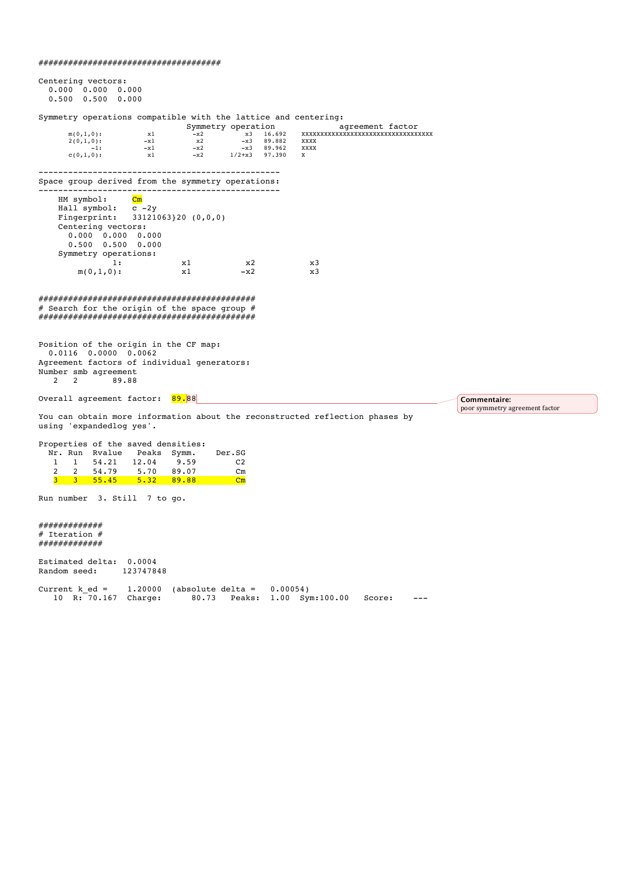# #####################################

| Centering vectors:<br>0.000 0.000 0.000<br>$0.500$ $0.500$ $0.000$                                                                                                                                                                |                                                              |                                                                   |                                                                     |          |                                                                  |                  |     |                                                |  |
|-----------------------------------------------------------------------------------------------------------------------------------------------------------------------------------------------------------------------------------|--------------------------------------------------------------|-------------------------------------------------------------------|---------------------------------------------------------------------|----------|------------------------------------------------------------------|------------------|-----|------------------------------------------------|--|
| Symmetry operations compatible with the lattice and centering:                                                                                                                                                                    |                                                              |                                                                   |                                                                     |          |                                                                  |                  |     |                                                |  |
| $m(0,1,0)$ :<br>$2(0,1,0)$ :<br>$-1:$<br>$c(0,1,0)$ :                                                                                                                                                                             | x1<br>$-x1$<br>$-x1$<br>x1                                   | Symmetry operation<br>$-x2$ $x3$ $16.692$<br>x2<br>$-x2$<br>$-x2$ | $-x3$ 89.882<br>-x3 89.962<br>1/2+x3 97.390                         |          | xxxxxxxxxxxxxxxxxxxxxxxxxxxxxxxx<br>XXXX<br>XXXX<br>$\mathbf{x}$ | agreement factor |     |                                                |  |
| Space group derived from the symmetry operations:                                                                                                                                                                                 |                                                              |                                                                   |                                                                     |          |                                                                  |                  |     |                                                |  |
| HM symbol:<br>Hall symbol:<br>Fingerprint:<br>Centering vectors:<br>0.000 0.000 0.000<br>$0.500$ $0.500$ $0.000$<br>Symmetry operations:<br>1:                                                                                    | $\mathbf{C}\mathbf{m}$<br>$c - 2y$<br>$33121063$ }20 (0,0,0) | x1                                                                | x2                                                                  |          | x3                                                               |                  |     |                                                |  |
| $m(0,1,0)$ :                                                                                                                                                                                                                      |                                                              | x1                                                                | $-x2$                                                               |          | x3                                                               |                  |     |                                                |  |
| # Search for the origin of the space group #<br>Position of the origin in the CF map:<br>$0.0116$ $0.0000$ $0.0062$<br>Agreement factors of individual generators:<br>Number smb agreement<br>$\mathbf{2}^{\prime}$<br>2<br>89.88 |                                                              |                                                                   |                                                                     |          |                                                                  |                  |     |                                                |  |
| Overall agreement factor: 89.88                                                                                                                                                                                                   |                                                              |                                                                   |                                                                     |          |                                                                  |                  |     | Commentaire:<br>poor symmetry agreement factor |  |
| You can obtain more information about the reconstructed reflection phases by<br>using 'expandedlog yes'.                                                                                                                          |                                                              |                                                                   |                                                                     |          |                                                                  |                  |     |                                                |  |
| Properties of the saved densities:<br>Nr. Run Rvalue Peaks Symm.<br>$\mathbf{1}$<br>$\mathbf{1}$<br>$\overline{2}$<br>$\overline{2}$<br>54.79<br>3 <sup>1</sup><br>$3$ $55.45$ $5.32$ $89.88$                                     | 54.21 12.04 9.59<br>5.70                                     | 89.07                                                             | Der.SG<br>C <sub>2</sub><br>$\mathsf{Cm}$<br>$\mathbf{C}\mathbf{m}$ |          |                                                                  |                  |     |                                                |  |
| Run number 3. Still 7 to go.                                                                                                                                                                                                      |                                                              |                                                                   |                                                                     |          |                                                                  |                  |     |                                                |  |
| ############<br># Iteration #<br>############                                                                                                                                                                                     |                                                              |                                                                   |                                                                     |          |                                                                  |                  |     |                                                |  |
| Estimated delta: 0.0004<br>Random seed:                                                                                                                                                                                           | 123747848                                                    |                                                                   |                                                                     |          |                                                                  |                  |     |                                                |  |
| $Current k ed =$<br>10 R: 70.167 Charge:                                                                                                                                                                                          | 1,20000                                                      | (absolute delta =<br>80.73                                        | Peaks:                                                              | 0.00054) | $1.00$ Sym: $100.00$                                             | Score:           | --- |                                                |  |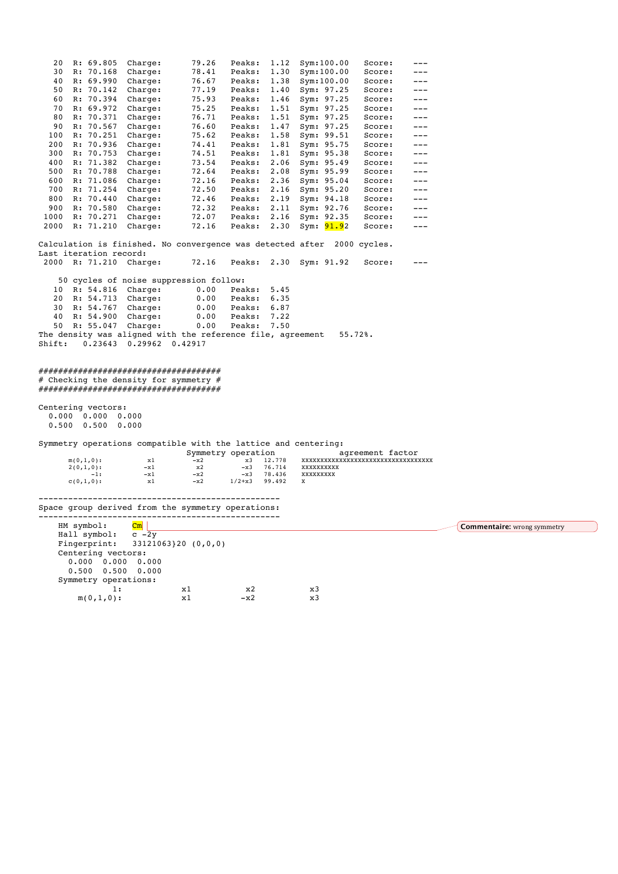| 20     | R: 69.805                 | Charge:                                                        | 79.26                   | Peaks:      | 1.12   | Sym:100.00                                                              | Score:           | ---   |                                    |
|--------|---------------------------|----------------------------------------------------------------|-------------------------|-------------|--------|-------------------------------------------------------------------------|------------------|-------|------------------------------------|
| 30     | R: 70.168                 | Charge:                                                        | 78.41                   | Peaks:      | 1.30   | Sym:100.00                                                              | Score:           | $---$ |                                    |
| 40     | R: 69.990                 | Charge:                                                        | 76.67                   | Peaks:      | 1.38   | Sym:100.00                                                              | Score:           | $---$ |                                    |
| 50     | R: 70.142                 | Charge:                                                        | 77.19                   | Peaks:      | 1.40   | Sym: 97.25                                                              | Score:           | $---$ |                                    |
| 60     | R: 70.394                 | Charge:                                                        | 75.93                   | Peaks:      | 1.46   | Sym: 97.25                                                              | Score:           | $---$ |                                    |
| 70     | R: 69.972                 | Charge:                                                        | 75.25                   | Peaks:      | 1.51   | Sym: 97.25                                                              | Score:           | $---$ |                                    |
| 80     | R: 70.371                 | Charge:                                                        | 76.71                   | Peaks:      | 1.51   | Sym: 97.25                                                              | Score:           | $---$ |                                    |
| 90     | R: 70.567                 | Charge:                                                        | 76.60                   | Peaks:      | 1.47   | Sym: 97.25                                                              | Score:           | $---$ |                                    |
| 100    | R: 70.251                 | Charge:                                                        | 75.62                   | Peaks:      | 1.58   | Sym: 99.51                                                              | Score:           | $---$ |                                    |
| 200    | R: 70.936                 | Charge:                                                        | 74.41                   | Peaks:      | 1.81   | Sym: 95.75                                                              | Score:           | $---$ |                                    |
| 300    | R: 70.753                 | Charge:                                                        | 74.51                   | Peaks:      | 1.81   | Sym: 95.38                                                              | Score:           | $---$ |                                    |
|        | 400 R: 71.382             | Charge:                                                        | 73.54                   | Peaks:      | 2.06   | Sym: 95.49                                                              | Score:           | $---$ |                                    |
|        | 500 R: 70.788             | Charge:                                                        | 72.64                   | Peaks:      | 2.08   | Sym: 95.99                                                              | Score:           | ---   |                                    |
| 600    | R: 71.086                 | Charge:                                                        | 72.16                   | Peaks:      | 2.36   | Sym: 95.04                                                              | Score:           | $---$ |                                    |
|        | 700 R: 71.254             | Charge:                                                        | 72.50                   | Peaks:      | 2.16   | Sym: 95.20                                                              | Score:           | ---   |                                    |
| 800    | R: 70.440                 | Charge:                                                        | 72.46                   | Peaks:      | 2.19   | Sym: 94.18                                                              | Score:           | $---$ |                                    |
| 900    | R: 70.580                 | Charge:                                                        | 72.32                   | Peaks:      | 2.11   | Sym: 92.76                                                              | Score:           | $---$ |                                    |
| 1000   | R: 70.271                 | Charge:                                                        | 72.07                   | Peaks:      | 2.16   | Sym: 92.35                                                              | Score:           | $---$ |                                    |
| 2000   | R: 71.210                 | Charge:                                                        | 72.16                   | Peaks:      | 2.30   | Sym: <mark>91.9</mark> 2                                                | Score:           | ---   |                                    |
|        |                           |                                                                |                         |             |        |                                                                         |                  |       |                                    |
|        |                           |                                                                |                         |             |        | Calculation is finished. No convergence was detected after 2000 cycles. |                  |       |                                    |
|        | Last iteration record:    |                                                                |                         |             |        |                                                                         |                  |       |                                    |
|        | 2000 R: 71.210 Charge:    |                                                                | 72.16                   | Peaks: 2.30 |        | Sym: 91.92                                                              | Score:           | $---$ |                                    |
|        |                           |                                                                |                         |             |        |                                                                         |                  |       |                                    |
|        |                           | 50 cycles of noise suppression follow:                         |                         |             |        |                                                                         |                  |       |                                    |
| 10     | R: 54.816 Charge:         |                                                                | 0.00                    | Peaks:      | 5.45   |                                                                         |                  |       |                                    |
|        | 20 R: 54.713 Charge:      |                                                                | 0.00                    | Peaks:      | 6.35   |                                                                         |                  |       |                                    |
| 30     | R: 54.767                 | Charge:                                                        | 0.00                    | Peaks:      | 6.87   |                                                                         |                  |       |                                    |
| 40     | R: 54.900 Charge:         |                                                                | 0.00                    | Peaks:      | 7.22   |                                                                         |                  |       |                                    |
| 50     |                           | R: 55.047 Charge:                                              | 0.00                    | Peaks:      | 7.50   |                                                                         |                  |       |                                    |
|        |                           | The density was aligned with the reference file, agreement     |                         |             |        |                                                                         | $55.72$ $%$      |       |                                    |
| Shift: |                           | $0.23643$ 0.29962 0.42917                                      |                         |             |        |                                                                         |                  |       |                                    |
|        |                           |                                                                |                         |             |        |                                                                         |                  |       |                                    |
|        |                           |                                                                |                         |             |        |                                                                         |                  |       |                                    |
|        |                           | ######################################                         |                         |             |        |                                                                         |                  |       |                                    |
|        |                           | # Checking the density for symmetry #                          |                         |             |        |                                                                         |                  |       |                                    |
|        |                           | #####################################                          |                         |             |        |                                                                         |                  |       |                                    |
|        |                           |                                                                |                         |             |        |                                                                         |                  |       |                                    |
|        | Centering vectors:        |                                                                |                         |             |        |                                                                         |                  |       |                                    |
|        | $0.000 \t 0.000 \t 0.000$ |                                                                |                         |             |        |                                                                         |                  |       |                                    |
|        | $0.500$ $0.500$ $0.000$   |                                                                |                         |             |        |                                                                         |                  |       |                                    |
|        |                           |                                                                |                         |             |        |                                                                         |                  |       |                                    |
|        |                           | Symmetry operations compatible with the lattice and centering: |                         |             |        |                                                                         |                  |       |                                    |
|        |                           |                                                                | Symmetry operation      |             |        |                                                                         | agreement factor |       |                                    |
|        | $m(0,1,0)$ :              | x1                                                             | $-x2$                   | x3          | 12.778 | xxxxxxxxxxxxxxxxxxxxxxxxxxxxxxxx                                        |                  |       |                                    |
|        | $2(0,1,0)$ :              | $-x1$                                                          | x2                      | $-x3$       | 76.714 | XXXXXXXXXX                                                              |                  |       |                                    |
|        | $-1:$                     | $-x1$                                                          | $-x2$                   | $-x3$       | 78.436 | XXXXXXXXX                                                               |                  |       |                                    |
|        | $C(0,1,0)$ :              | x1                                                             | $-x2$                   | $1/2 + x3$  | 99.492 | X                                                                       |                  |       |                                    |
|        |                           |                                                                |                         |             |        |                                                                         |                  |       |                                    |
|        |                           | Space group derived from the symmetry operations:              |                         |             |        |                                                                         |                  |       |                                    |
|        |                           |                                                                | ----------------------- |             |        |                                                                         |                  |       |                                    |
|        | HM symbol:                | $\mathbf{C}\mathbf{m}$                                         |                         |             |        |                                                                         |                  |       |                                    |
|        | Hall symbol:              | $c - 2y$                                                       |                         |             |        |                                                                         |                  |       | <b>Commentaire:</b> wrong symmetry |
|        | Fingerprint:              |                                                                | $33121063$ }20 (0,0,0)  |             |        |                                                                         |                  |       |                                    |
|        | Centering vectors:        |                                                                |                         |             |        |                                                                         |                  |       |                                    |
|        | $0.000 \t 0.000 \t 0.000$ |                                                                |                         |             |        |                                                                         |                  |       |                                    |
|        | $0.500$ $0.500$ $0.000$   |                                                                |                         |             |        |                                                                         |                  |       |                                    |
|        |                           |                                                                |                         |             |        |                                                                         |                  |       |                                    |
|        | Symmetry operations:      |                                                                |                         | x2          |        | x3                                                                      |                  |       |                                    |
|        |                           | 1:                                                             | x1                      |             |        |                                                                         |                  |       |                                    |

 $m(0,1,0):$   $x1 -x2$   $x3$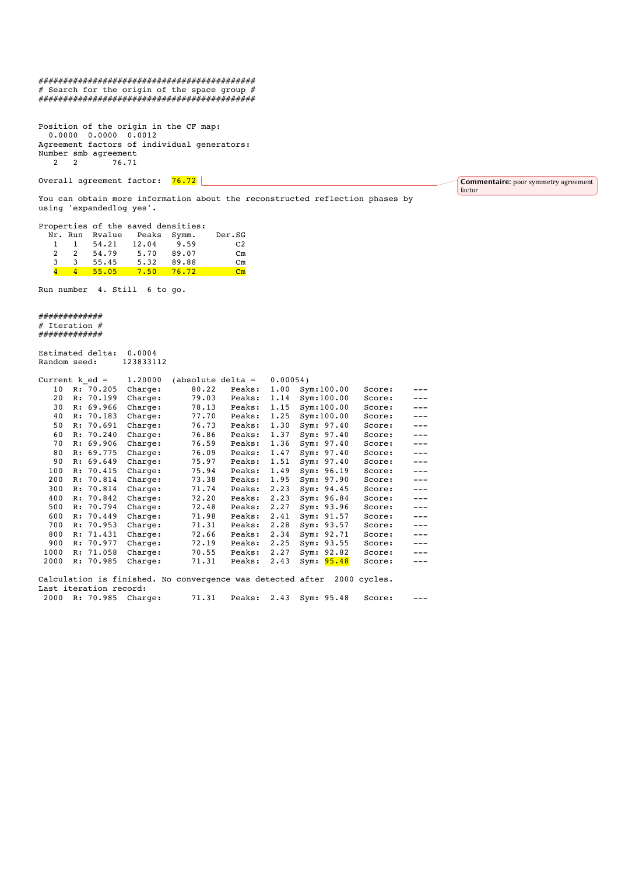#### ############################################ # Search for the origin of the space group # ############################################

Position of the origin in the CF map: 0.0000 0.0000 0.0012 Agreement factors of individual generators: Number smb agreement<br>2 2 76.71 2 2 76.71

Overall agreement factor: 76.72

You can obtain more information about the reconstructed reflection phases by using 'expandedlog yes'.

Commentaire: poor symmetry agreement

factor

| Properties of the saved densities: |                |       |                            |       |                |
|------------------------------------|----------------|-------|----------------------------|-------|----------------|
|                                    |                |       | Nr. Run Rvalue Peaks Symm. |       | Der.SG         |
|                                    | <sup>1</sup>   | 54.21 | 12.04                      | 9.59  | C <sub>2</sub> |
| $\mathcal{P}$                      | $\overline{2}$ | 54.79 | 5.70                       | 89.07 | $cm$           |
| 3                                  | 3              | 55.45 | 5.32                       | 89.88 | $cm$           |
|                                    | $\mathbf{A}$   | 55.05 | $7.50$ $76.72$             |       | $cm$           |

Run number 4. Still 6 to go.

############# # Iteration # #############

Estimated delta: 0.0004<br>Random seed: 123833112 External and<br>Random seed:

| Current $k$ ed = |                        |           | 1.20000 | (absolute delta $=$                                        |        | $0.00054$ ) |               |              |       |  |
|------------------|------------------------|-----------|---------|------------------------------------------------------------|--------|-------------|---------------|--------------|-------|--|
| 10               |                        | R: 70.205 | Charge: | 80.22                                                      | Peaks: | 1.00        | Sym:100.00    | Score:       | $---$ |  |
| 20               |                        | R: 70.199 | Charge: | 79.03                                                      | Peaks: | 1.14        | Sym:100.00    | Score:       | $---$ |  |
| 30               |                        | R: 69.966 | Charge: | 78.13                                                      | Peaks: | 1.15        | Sym:100.00    | Score:       | $---$ |  |
| 40               |                        | R: 70.183 | Charge: | 77.70                                                      | Peaks: | 1.25        | Sym:100.00    | Score:       | $---$ |  |
| 50               |                        | R: 70.691 | Charge: | 76.73                                                      | Peaks: | 1.30        | Sym: 97.40    | Score:       | $---$ |  |
| 60               |                        | R: 70.240 | Charge: | 76.86                                                      | Peaks: | 1.37        | Sym: 97.40    | Score:       | $---$ |  |
| 70               |                        | R: 69.906 | Charge: | 76.59                                                      | Peaks: | 1.36        | Sym: 97.40    | Score:       | $---$ |  |
| 80               |                        | R: 69.775 | Charge: | 76.09                                                      | Peaks: | 1.47        | Sym: 97.40    | Score:       | $---$ |  |
| 90               |                        | R: 69.649 | Charge: | 75.97                                                      | Peaks: | 1.51        | Sym: 97.40    | Score:       | $---$ |  |
| 100              | R:                     | 70.415    | Charge: | 75.94                                                      | Peaks: | 1.49        | Sym: 96.19    | Score:       | $---$ |  |
| 200              | R:                     | 70.814    | Charge: | 73.38                                                      | Peaks: | 1.95        | Sym: 97.90    | Score:       | $---$ |  |
| 300              | R:                     | 70.814    | Charge: | 71.74                                                      | Peaks: | 2.23        | Sym: 94.45    | Score:       | $---$ |  |
| 400              |                        | R: 70.842 | Charge: | 72.20                                                      | Peaks: | 2.23        | Sym: 96.84    | Score:       | $---$ |  |
| 500              |                        | R: 70.794 | Charge: | 72.48                                                      | Peaks: | 2.27        | Sym: 93.96    | Score:       | $---$ |  |
| 600              |                        | R: 70.449 | Charge: | 71.98                                                      | Peaks: | 2.41        | Sym: 91.57    | Score:       | $---$ |  |
| 700              | R:                     | 70.953    | Charge: | 71.31                                                      | Peaks: | 2.28        | Sym: 93.57    | Score:       | $---$ |  |
| 800              |                        | R: 71.431 | Charge: | 72.66                                                      | Peaks: | 2.34        | Sym: 92.71    | Score:       | $---$ |  |
| 900              | R:                     | 70.977    | Charge: | 72.19                                                      | Peaks: | 2.25        | Sym: 93.55    | Score:       | $---$ |  |
| 1000             | R:                     | 71.058    | Charge: | 70.55                                                      | Peaks: | 2.27        | 92.82<br>Sym: | Score:       | $---$ |  |
| 2000             | R:                     | 70.985    | Charge: | 71.31                                                      | Peaks: | 2.43        | 95.48<br>Sym: | Score:       | $---$ |  |
|                  |                        |           |         |                                                            |        |             |               |              |       |  |
|                  |                        |           |         | Calculation is finished. No convergence was detected after |        |             |               | 2000 cycles. |       |  |
|                  | Last iteration record: |           |         |                                                            |        |             |               |              |       |  |

2000 R: 70.985 Charge: 71.31 Peaks: 2.43 Sym: 95.48 Score: ---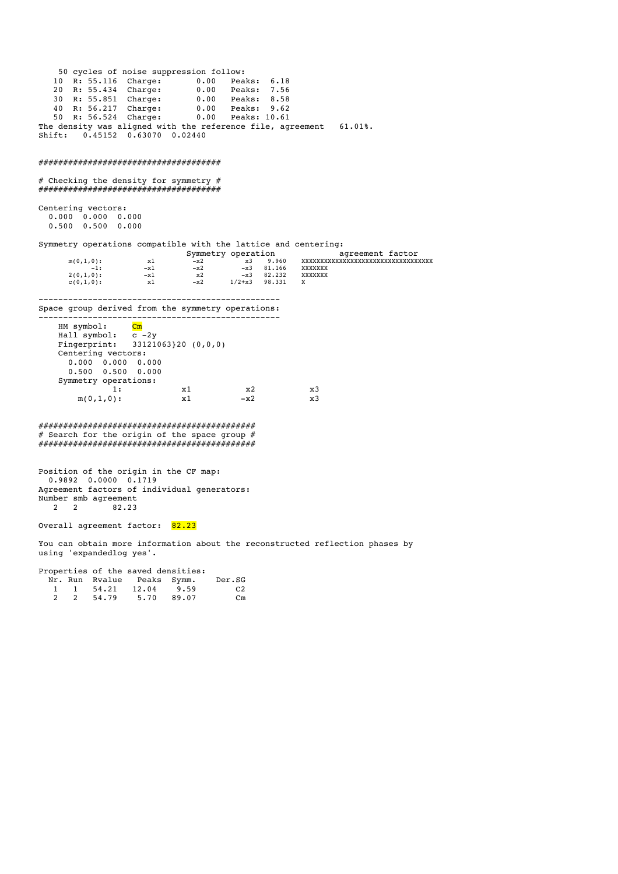50 cycles of noise suppression follow: 10 R: 55.116 Charge: 0.00 Peaks: 6.18<br>
20 R: 55.434 Charge: 0.00 Peaks: 7.56<br>
30 R: 55.851 Charge: 0.00 Peaks: 8.58<br>
40 R: 56.217 Charge: 0.00 Peaks: 9.62 20 R: 55.434 Charge: 0.00<br>30 R: 55.851 Charge: 0.00<br>40 R: 56.217 Charge: 0.00 30 R: 55.851 Charge: 0.00 Peaks: 8.58 40 R: 56.217 Charge: 0.00 Peaks: 9.62 50 R: 56.524 Charge: 0.00 Peaks: 10.61 The density was aligned with the reference file, agreement 61.01%. Shift: 0.45152 0.63070 0.02440 ##################################### # Checking the density for symmetry # ##################################### Centering vectors: 0.000 0.000 0.000 0.500 0.500 0.000 Symmetry operations compatible with the lattice and centering:<br>Symmetry operation agreement factor  $m(0,1,0):$ <br>  $m(0,1,0):$ <br>  $m(1,0):$ <br>  $m(1,0):$ <br>  $m(2,1)$ <br>  $m(3,0)$ <br>  $m(3,0)$ <br>  $m(3,0)$ <br>  $m(3,0)$ <br>  $m(3,0)$ <br>  $m(3,0)$ <br>  $m(3,0)$ <br>  $m(3,0)$ <br>  $m(3,0)$  m(0,1,0): x1 -x2 x3 9.960 XXXXXXXXXXXXXXXXXXXXXXXXXXXXXXXXXXX  $\begin{array}{ccccccc} \tt x1 & & & & & & & & & & \tt x2 & & & & & & & & & & & \tt x3 & & 9.960 & & & & & & & & \tt X2 & & & & & & & & & & & \tt -x1 & & & & & & & & & & & & \tt -x3 & & & & & & & & & & \tt -x1 & & & & & & & & & & & \tt -x3 & & & & & & & & & & & \tt 82.232 & & & & & & & & & & & & \tt XXXXXXX & & & & & & & & & \tt -x3 & & & & & & & & & & & & \tt 02 & & & & & & & & & & & \tt 03 & & & & & & & & & &$  $2(0,1,0):$ <br>  $-1:$ <br>  $2(0,1,0):$ <br>  $-1:$ <br>  $-1:$ <br>  $-1:$ <br>  $-1:$ <br>  $-1:$ <br>  $-1:$ <br>  $-1:$ <br>  $-1:$ <br>  $-1:$ <br>  $-1:$ <br>  $-1:$ <br>  $-1:$ <br>  $-1:$ <br>  $-1:$ <br>  $-1:$ <br>  $-1:$ <br>  $-1:$ <br>  $-1:$ <br>  $-1:$ <br>  $-1:$ <br>  $-1:$ <br>  $-1:$ <br>  $-1:$ <br>  $-1:$ <br>  $-1:$ <br>  $-1:$ <br>  $-1:$ <br>  $c(0,1,0)$ : ------------------------------------------------- Space group derived from the symmetry operations: -------------------<br>l: <mark>Cm</mark>  $HM$  symbol: Hall symbol: c -2y Fingerprint: 33121063}20 (0,0,0) Centering vectors: 0.000 0.000 0.000 0.500 0.500 0.000 Symmetry operations:<br>1: 1: x1 x2 x3  $m(0,1,0):$  x1  $-x2$  x3 ############################################ # Search for the origin of the space group # ############################################ Position of the origin in the CF map: 0.9892 0.0000 0.1719

Agreement factors of individual generators: Number smb agreement<br>2 2 82.23 2 2 82.23

Overall agreement factor: 82.23

You can obtain more information about the reconstructed reflection phases by using 'expandedlog yes'.

|   |         | Properties of the saved densities: |       |          |
|---|---------|------------------------------------|-------|----------|
|   |         | Nr. Run Rvalue Peaks Symm.         |       | Der.SG   |
|   |         | 1 1 54.21 12.04 9.59               |       | C2       |
| 2 | 2 54.79 | 5.70                               | 89.07 | $\rm cm$ |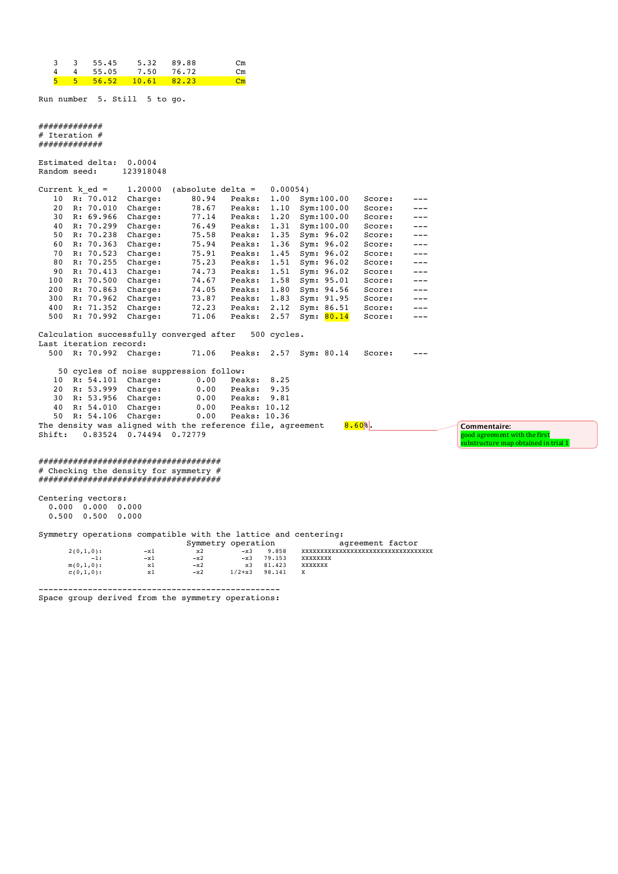|  | 3 3 55.45 5.32 89.88                            |  |    |
|--|-------------------------------------------------|--|----|
|  | 4 4 55.05 7.50 76.72                            |  | Сm |
|  | $5 \quad 5 \quad 56.52 \quad 10.61 \quad 82.23$ |  |    |

Run number 5. Still 5 to go.

#### #############  $#$  Tteration  $#$ #############

|                  | Estimated delta: | 0.0004    |                    |        |          |               |        |     |
|------------------|------------------|-----------|--------------------|--------|----------|---------------|--------|-----|
| Random seed:     |                  | 123918048 |                    |        |          |               |        |     |
| Current $k$ ed = |                  | 1,20000   | absolute delta $=$ |        | 0.00054) |               |        |     |
|                  |                  |           |                    |        |          |               |        |     |
| 10               | R: 70.012        | Charge:   | 80.94              | Peaks: | 1.00     | Sym:100.00    | Score: |     |
| 20               | R: 70.010        | Charge:   | 78.67              | Peaks: | 1.10     | Sym:100.00    | Score: |     |
| 30               | R: 69.966        | Charge:   | 77.14              | Peaks: | 1.20     | Sym:100.00    | Score: |     |
| 40               | R: 70.299        | Charge:   | 76.49              | Peaks: | 1.31     | Sym:100.00    | Score: |     |
| 50               | R: 70.238        | Charge:   | 75.58              | Peaks: | 1.35     | Sym: 96.02    | Score: |     |
| 60               | R: 70.363        | Charge:   | 75.94              | Peaks: | 1.36     | Sym: 96.02    | Score: |     |
| 70               | R: 70.523        | Charge:   | 75.91              | Peaks: | 1.45     | Sym: 96.02    | Score: |     |
| 80               | R: 70.255        | Charge:   | 75.23              | Peaks: | 1.51     | Sym: 96.02    | Score: |     |
| 90               | R: 70.413        | Charge:   | 74.73              | Peaks: | 1.51     | Sym: $96.02$  | Score: | --- |
| 100              | R: 70.500        | Charge:   | 74.67              | Peaks: | 1.58     | Sym: 95.01    | Score: | --- |
| 200              | R: 70.863        | Charge:   | 74.05              | Peaks: | 1.80     | Sym: 94.56    | Score: |     |
| 300              | R: 70.962        | Charge:   | 73.87              | Peaks: | 1.83     | Sym: 91.95    | Score: |     |
| 400              | R: 71.352        | Charge:   | 72.23              | Peaks: | 2.12     | 86.51<br>Sym: | Score: |     |
| 500              | R: 70.992        | Charge:   | 71.06              | Peaks: | 2.57     | 80.14<br>Sym: | Score: |     |
|                  |                  |           |                    |        |          |               |        |     |

Calculation successfully converged after 500 cycles. Last iteration record:<br>500 R: 70.992 Charge: 71.06 Peaks: 2.57 Sym: 80.14 Score: ---50 cycles of noise suppression follow:<br>10 R: 54.101 Charge: 0.00 Peaks: 8.25<br>20 R: 53.999 Charge: 0.00 Peaks: 9.35 10 R: 54.101 Charge: 0.00 Peaks: 8.25 20 R: 53.999 Charge: 0.00 Peaks: 9.35 30 R: 53.956 Charge: 0.00 Peaks: 9.81 40 R: 54.010 Charge: 0.00 Peaks: 10.12 50 R: 54.106 Charge: 0.00 Peaks: 10.36 The density was aligned with the reference file, agreement  $8.60%$ .

Shift: 0.83524 0.74494 0.72779

#### ##################################### # Checking the density for symmetry # #####################################

Centering vectors: 0.000 0.000 0.000 0.500 0.500 0.000

### Symmetry operations compatible with the lattice and centering:

|              |       | Symmetry operation |            |        |          |
|--------------|-------|--------------------|------------|--------|----------|
| $2(0,1,0)$ : | $-x1$ | x2                 | $-x3$      | 9.858  | xxxxxxxx |
| $-1:$        | $-x1$ | $-x2$              | $-x3$      | 79.153 | xxxxxxxx |
| $m(0,1,0)$ : | x1    | $-x2$              | x3         | 81,423 | xxxxxxx  |
| $C(0,1,0)$ : | x1    | $-x2$              | $1/2 + x3$ | 98,141 |          |
|              |       |                    |            |        |          |

agreement factor agreement raceor **Commentaire:** 

good agreement with the first<br>substructure map obtained in trial 1

------------------------------------------------- Space group derived from the symmetry operations: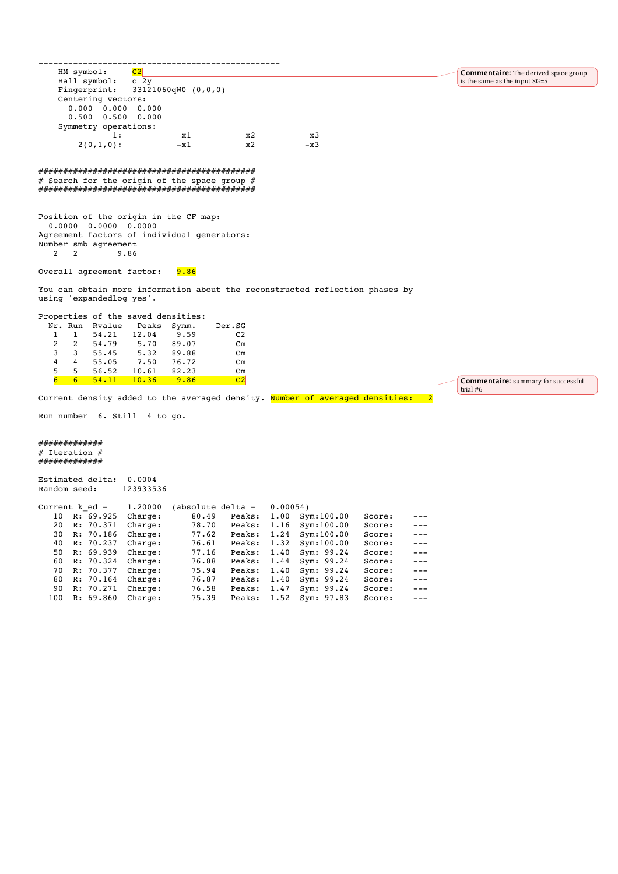**Commentaire:** The derived space group is the same as the input SG=5

Hall symbol:<br>Fingerprint:  $33121060qW0 (0,0,0)$  Centering vectors: 0.000 0.000 0.000 0.500 0.500 0.000 Symmetry operations: 1: x1 x2 x3  $2(0,1,0):$   $-x1$   $x2$   $-x3$ ############################################ # Search for the origin of the space group  $#$ ############################################ Position of the origin in the CF map: 0.0000 0.0000 0.0000 Agreement factors of individual generators: Number smb agreement<br>2 2 3 9.86 9.86 Overall agreement factor: 9.86 You can obtain more information about the reconstructed reflection phases by using 'expandedlog yes'. Properties of the saved densities: Nr. Run Rvalue Peaks Symm. Der.SG<br>1 1 54.21 12.04 9.59 C2  $12.04$  9.59<br>5.70 89.07 2 2 54.79 5.70 89.07 Cm 3 3 55.45 5.32 89.88 Cm<br>4 4 55.05 7.50 76.72 Cm  $7.50$   $76.72$ <br> $10.61$   $82.23$  5 5 56.52 10.61 82.23 Cm 6 6 54.11 10.36 9.86 C2 Current density added to the averaged density. Number of averaged densities: 2 Run number 6. Still 4 to go. ############# # Iteration # ############# Estimated delta: 0.0004<br>Random seed: 123933536 Random seed: Current k\_ed =  $1.20000$  (absolute delta =  $0.00054$ )<br>10 R: 69.925 Charge:  $80.49$  Peaks:  $1.00$  Sy 10 R: 69.925 Charge: 80.49 Peaks: 1.00 Sym:100.00 Score: ---<br>20 R: 70.371 Charge: 78.70 Peaks: 1.16 Sym:100.00 Score: --- 20 R: 70.371 Charge: 78.70 Peaks: 1.16 Sym:100.00 Score: --- 30 R: 70.186 Charge: 77.62 Peaks: 1.24 Sym:100.00 Score: --- 40 R: 70.237 Charge: 76.61 Peaks: 1.32 Sym:100.00 Score: --- 50 R: 69.939 Charge: 77.16 Peaks: 1.40 Sym: 99.24 Score: --- 60 R: 70.324 Charge: 76.88 Peaks: 1.44 Sym: 99.24 Score: --- **Commentaire:** summary for successful trial #6

Charge: 76.87 Peaks: 1.40 Sym: 99.24 Score: ---<br>Charge: 76.58 Peaks: 1.47 Sym: 99.24 Score: ---

Peaks: 1.52 Sym: 97.83

90 R: 70.271 Charge: 76.58 Peaks: 1.47 Sym: 99.24 Score: ---<br>100 R: 69.860 Charge: 75.39 Peaks: 1.52 Sym: 97.83 Score: ---

-------------------------------------------------

HM symbol: <mark>C2</mark><br>Hall symbol: c 2y

70 R: 70.377 Charge: 75.94<br>80 R: 70.164 Charge: 76.87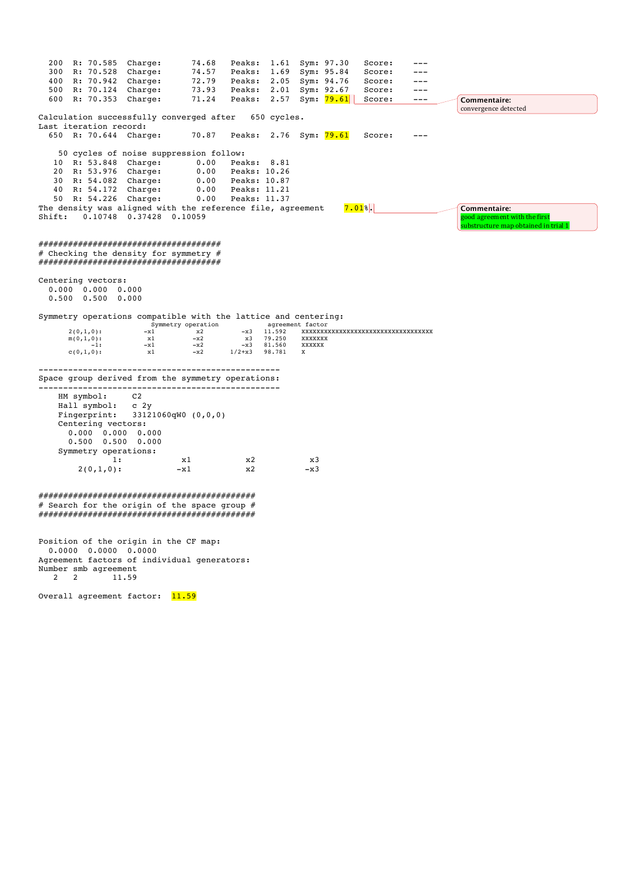|        | 200 R: 70.585 Charge:                 |                         | 74.68                                                                          |                              | Peaks: 1.61 Sym: 97.30 |                        |                                     | Score:                           |       |                                      |
|--------|---------------------------------------|-------------------------|--------------------------------------------------------------------------------|------------------------------|------------------------|------------------------|-------------------------------------|----------------------------------|-------|--------------------------------------|
|        | 300 R: 70.528 Charge:                 |                         | 74.57                                                                          | Peaks:                       | 1.69 Sym: 95.84        |                        |                                     | Score:                           | ---   |                                      |
|        | 400 R: 70.942 Charge:                 |                         | 72.79                                                                          |                              | Peaks: 2.05 Sym: 94.76 |                        |                                     | Score:                           | ---   |                                      |
|        | 500 R: 70.124 Charge:                 |                         |                                                                                | 73.93 Peaks: 2.01 Sym: 92.67 |                        |                        |                                     | Score:                           | $---$ |                                      |
|        | 600 R: 70.353 Charge:                 |                         | 71.24                                                                          |                              |                        |                        | Peaks: 2.57 Sym: <mark>79.61</mark> | Score:                           | $---$ | Commentaire:<br>convergence detected |
|        |                                       |                         | Calculation successfully converged after                                       |                              | 650 cycles.            |                        |                                     |                                  |       |                                      |
|        | Last iteration record:                |                         |                                                                                |                              |                        |                        |                                     |                                  |       |                                      |
|        | 650 R: 70.644 Charge:                 |                         | 70.87                                                                          |                              | Peaks: 2.76 Sym: 79.61 |                        |                                     | Score:                           |       |                                      |
|        |                                       |                         | 50 cycles of noise suppression follow:                                         |                              |                        |                        |                                     |                                  |       |                                      |
|        | 10 R: 53.848 Charge:                  |                         | 0.00                                                                           | Peaks: 8.81                  |                        |                        |                                     |                                  |       |                                      |
|        | 20 R: 53.976 Charge:                  |                         | 0.00                                                                           | Peaks: 10.26                 |                        |                        |                                     |                                  |       |                                      |
|        | 30 R: 54.082 Charge:                  |                         |                                                                                | 0.00 Peaks: 10.87            |                        |                        |                                     |                                  |       |                                      |
|        | 40 R: 54.172 Charge:                  |                         |                                                                                | 0.00 Peaks: 11.21            |                        |                        |                                     |                                  |       |                                      |
|        | 50 R: 54.226 Charge:                  |                         |                                                                                | 0.00 Peaks: 11.37            |                        |                        |                                     |                                  |       |                                      |
|        |                                       |                         | The density was aligned with the reference file, agreement                     |                              |                        |                        |                                     | $7.01$ <sup>8</sup> .            |       | Commentaire:                         |
| Shift: |                                       | 0.10748 0.37428 0.10059 |                                                                                |                              |                        |                        |                                     |                                  |       | good agreement with the first        |
|        |                                       |                         |                                                                                |                              |                        |                        |                                     |                                  |       | substructure map obtained in trial 1 |
|        |                                       |                         |                                                                                |                              |                        |                        |                                     |                                  |       |                                      |
|        |                                       |                         | #####################################                                          |                              |                        |                        |                                     |                                  |       |                                      |
|        |                                       |                         | # Checking the density for symmetry #<br>##################################### |                              |                        |                        |                                     |                                  |       |                                      |
|        |                                       |                         |                                                                                |                              |                        |                        |                                     |                                  |       |                                      |
|        | Centering vectors:                    |                         |                                                                                |                              |                        |                        |                                     |                                  |       |                                      |
|        | $0.000$ $0.000$ $0.000$               |                         |                                                                                |                              |                        |                        |                                     |                                  |       |                                      |
|        | $0.500$ $0.500$ $0.000$               |                         |                                                                                |                              |                        |                        |                                     |                                  |       |                                      |
|        |                                       |                         |                                                                                |                              |                        |                        |                                     |                                  |       |                                      |
|        |                                       |                         | Symmetry operations compatible with the lattice and centering:                 |                              |                        |                        |                                     |                                  |       |                                      |
|        | $2(0,1,0)$ :                          | $-x1$                   | Symmetry operation<br>x2                                                       |                              | $-x3$ 11.592           | agreement factor       |                                     | xxxxxxxxxxxxxxxxxxxxxxxxxxxxxxxx |       |                                      |
|        | $m(0,1,0)$ :                          | x1                      | $-x2$                                                                          |                              | x3 79.250              | XXXXXXX                |                                     |                                  |       |                                      |
|        | $-1:$<br>$c(0,1,0)$ :                 | $-x1$<br>x1             | $-x2$<br>$-x2$                                                                 | $-x3$<br>$1/2 + x3$          | 81.560<br>98.781       | XXXXXX<br>$\mathbf{x}$ |                                     |                                  |       |                                      |
|        |                                       |                         |                                                                                |                              |                        |                        |                                     |                                  |       |                                      |
|        |                                       |                         | Space group derived from the symmetry operations:                              |                              |                        |                        |                                     |                                  |       |                                      |
|        |                                       |                         |                                                                                |                              |                        |                        |                                     |                                  |       |                                      |
|        | HM symbol:                            | C <sub>2</sub>          |                                                                                |                              |                        |                        |                                     |                                  |       |                                      |
|        | Hall symbol: c 2y                     |                         |                                                                                |                              |                        |                        |                                     |                                  |       |                                      |
|        | Fingerprint:                          |                         | 33121060qW0 (0,0,0)                                                            |                              |                        |                        |                                     |                                  |       |                                      |
|        | Centering vectors:                    |                         |                                                                                |                              |                        |                        |                                     |                                  |       |                                      |
|        | $0.000$ $0.000$ $0.000$               |                         |                                                                                |                              |                        |                        |                                     |                                  |       |                                      |
|        | $0.500$ $0.500$ $0.000$               |                         |                                                                                |                              |                        |                        |                                     |                                  |       |                                      |
|        | Symmetry operations:                  |                         |                                                                                |                              |                        |                        |                                     |                                  |       |                                      |
|        | 1:                                    |                         | x1                                                                             | x2                           |                        | x3                     |                                     |                                  |       |                                      |
|        | $2(0,1,0)$ :                          |                         | $-x1$                                                                          | x2                           |                        | $-x3$                  |                                     |                                  |       |                                      |
|        |                                       |                         |                                                                                |                              |                        |                        |                                     |                                  |       |                                      |
|        |                                       |                         |                                                                                |                              |                        |                        |                                     |                                  |       |                                      |
|        |                                       |                         | # Search for the origin of the space group #                                   |                              |                        |                        |                                     |                                  |       |                                      |
|        |                                       |                         |                                                                                |                              |                        |                        |                                     |                                  |       |                                      |
|        |                                       |                         |                                                                                |                              |                        |                        |                                     |                                  |       |                                      |
|        |                                       |                         |                                                                                |                              |                        |                        |                                     |                                  |       |                                      |
|        | Position of the origin in the CF map: |                         |                                                                                |                              |                        |                        |                                     |                                  |       |                                      |
|        | $0.0000$ $0.0000$ $0.0000$            |                         |                                                                                |                              |                        |                        |                                     |                                  |       |                                      |

2 2 11.59

Agreement factors of individual generators:

Overall agreement factor: 11.59

Number smb agreement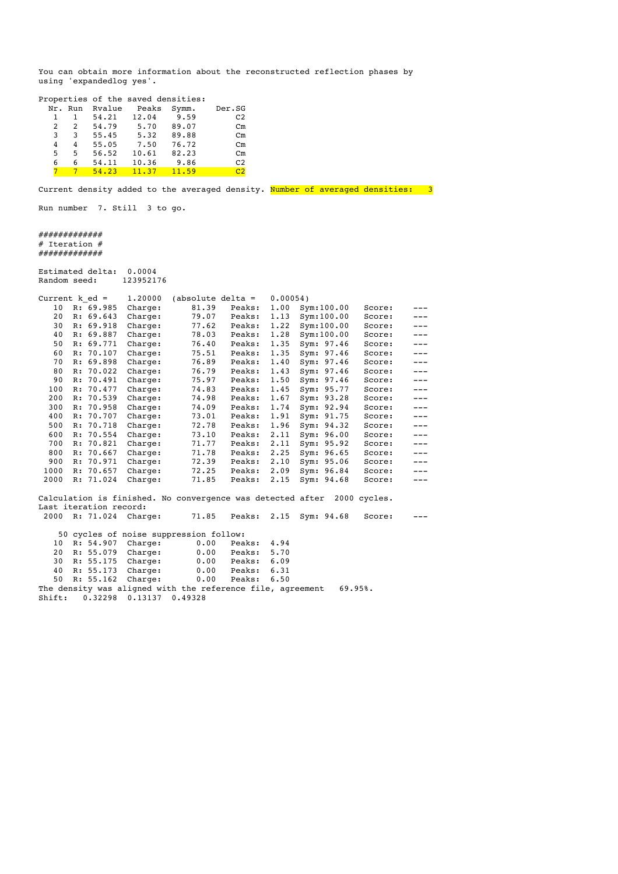You can obtain more information about the reconstructed reflection phases by using 'expandedlog yes'.

|   |               |        | Properties of the saved densities: |       |                |
|---|---------------|--------|------------------------------------|-------|----------------|
|   |               |        |                                    |       |                |
|   | Nr. Run       | Rvalue | Peaks                              | Symm. | Der.SG         |
|   | 1             | 54.21  | 12.04                              | 9.59  | C <sub>2</sub> |
| 2 | $\mathcal{L}$ | 54.79  | 5.70                               | 89.07 | $cm$           |
| 3 | 3             | 55.45  | 5.32                               | 89.88 | $cm$           |
| 4 | 4             | 55.05  | 7.50                               | 76.72 | $cm$           |
| 5 | 5             | 56.52  | 10.61                              | 82.23 | $cm$           |
| 6 | 6             | 54.11  | 10.36                              | 9.86  | C <sub>2</sub> |
|   |               | 54.23  | 11.37                              | 11.59 | C <sub>2</sub> |
|   |               |        |                                    |       |                |

Current density added to the averaged density. Number of averaged densities: 3

Run number 7. Still 3 to go.

############# # Iteration # #############

Estimated delta: 0.0004 Random seed: 123952176

Shift: 0.32298 0.13137 0.49328

| Current $k$ ed = |    |                        | 1,20000                                                    | $(absolute delta =$ |        | $0.00054$ ) |              |              |         |
|------------------|----|------------------------|------------------------------------------------------------|---------------------|--------|-------------|--------------|--------------|---------|
| 10               |    | R: 69.985              | Charge:                                                    | 81.39               | Peaks: | 1.00        | Sym:100.00   | Score:       | ---     |
| 20               |    | R: 69.643              | Charge:                                                    | 79.07               | Peaks: | 1.13        | Sym:100.00   | Score:       | $---$   |
| 30               |    | R: 69.918              | Charge:                                                    | 77.62               | Peaks: | 1.22        | Sym:100.00   | Score:       | $---$   |
| 40               |    | R: 69.887              | Charge:                                                    | 78.03               | Peaks: | 1.28        | Sym:100.00   | Score:       | $---$   |
| 50               |    | R: 69.771              | Charge:                                                    | 76.40               | Peaks: | 1.35        | Sym: 97.46   | Score:       | $---$   |
| 60               |    | R: 70.107              | Charge:                                                    | 75.51               | Peaks: | 1.35        | Sym: 97.46   | Score:       | $- - -$ |
| 70               |    | R: 69.898              | Charge:                                                    | 76.89               | Peaks: | 1.40        | Sym: 97.46   | Score:       | ---     |
| 80               |    | R: 70.022              | Charge:                                                    | 76.79               | Peaks: | 1.43        | Sym: 97.46   | Score:       | $---$   |
| 90               |    | R: 70.491              | Charge:                                                    | 75.97               | Peaks: | 1.50        | Sym: 97.46   | Score:       | $---$   |
| 100              |    | R: 70.477              | Charge:                                                    | 74.83               | Peaks: | 1.45        | Sym: 95.77   | Score:       | $---$   |
| 200              |    | R: 70.539              | Charge:                                                    | 74.98               | Peaks: | 1.67        | Sym: 93.28   | Score:       | $---$   |
| 300              | R: | 70.958                 | Charge:                                                    | 74.09               | Peaks: | 1.74        | Sym: 92.94   | Score:       | $---$   |
| 400              |    | R: 70.707              | Charge:                                                    | 73.01               | Peaks: | 1.91        | Sym: 91.75   | Score:       | $---$   |
| 500              |    | R: 70.718              | Charge:                                                    | 72.78               | Peaks: | 1.96        | Sym: 94.32   | Score:       | ---     |
| 600              |    | R: 70.554              | Charge:                                                    | 73.10               | Peaks: | 2.11        | Sym: 96.00   | Score:       | $---$   |
| 700              |    | R: 70.821              | Charge:                                                    | 71.77               | Peaks: | 2.11        | Sym: 95.92   | Score:       | $---$   |
| 800              |    | R: 70.667              | Charge:                                                    | 71.78               | Peaks: | 2.25        | Sym: $96.65$ | Score:       | $---$   |
| 900              | R: | 70.971                 | Charge:                                                    | 72.39               | Peaks: | 2.10        | Sym: 95.06   | Score:       | $---$   |
| 1000             |    | R: 70.657              | Charge:                                                    | 72.25               | Peaks: | 2.09        | Sym: 96.84   | Score:       | $---$   |
| 2000             |    | R: 71.024              | Charge:                                                    | 71.85               | Peaks: | 2.15        | Sym: 94.68   | Score:       | ---     |
|                  |    |                        | Calculation is finished. No convergence was detected after |                     |        |             |              | 2000 cycles. |         |
|                  |    | Last iteration record: |                                                            |                     |        |             |              |              |         |
| 2000             |    |                        | R: 71.024 Charge:                                          | 71.85               | Peaks: | 2.15        | Sym: 94.68   | Score:       |         |
|                  |    |                        | 50 cycles of noise suppression follow:                     |                     |        |             |              |              |         |
| 10               |    | R: 54.907              | Charge:                                                    | 0.00                | Peaks: | 4.94        |              |              |         |
| 20               |    | R: 55.079              | Charge:                                                    | 0.00                | Peaks: | 5.70        |              |              |         |
| 30               |    | R: 55.175              | Charge:                                                    | 0.00                | Peaks: | 6.09        |              |              |         |
| 40               |    | R: 55.173              | Charge:                                                    | 0.00                | Peaks: | 6.31        |              |              |         |
| 50               |    | R: 55.162              | Charge:                                                    | 0.00                | Peaks: | 6.50        |              |              |         |
|                  |    |                        | The density was aligned with the reference file, agreement |                     |        |             |              | 69.95%.      |         |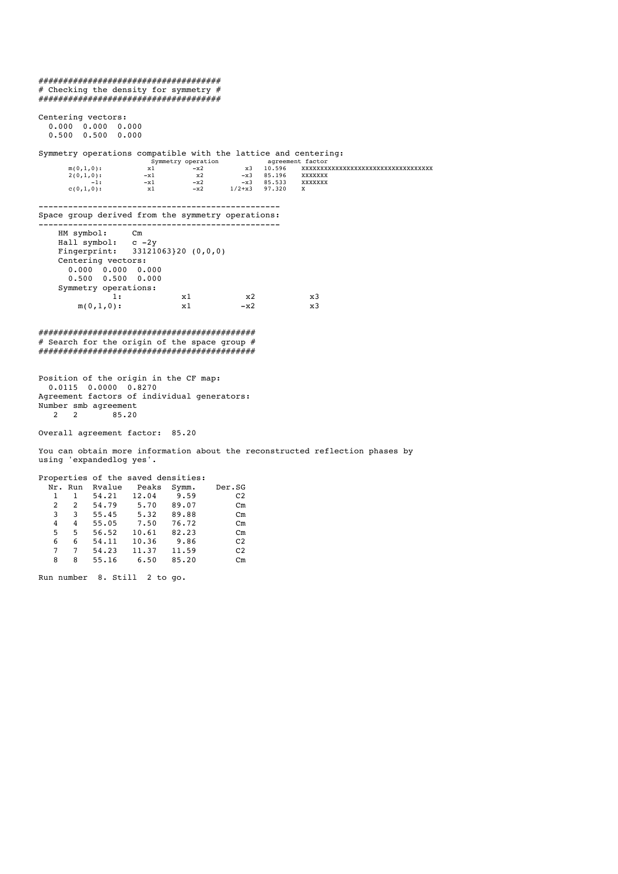##################################### # Checking the density for symmetry # ##################################### Centering vectors: 0.000 0.000 0.000 0.500 0.500 0.000 Symmetry operations compatible with the lattice and centering:<br>symmetry operation agreement factor<br> $m(0,1,0)$ :<br> $x1$  -x2 x3 10.596 XXXXXXXXXXX Symmetry operation agreement factor m(0,1,0): x1 -x2 x3 10.596 XXXXXXXXXXXXXXXXXXXXXXXXXXXXXXXXXXX  $2(0,1,0):$   $-x1$   $x2$   $-x3$  85.196 XXXXXXX  $-1:$   $-x1$   $-x2$   $-x3$  85.533 XXXXXXX  $c(0,1,0):$   $x1 - x2 - 1/2 + x3 - 97.320$ ------------------------------------------------- Space group derived from the symmetry operations: ------------------------------------------------- HM symbol: Cm Hall symbol:<br>Fingerprint: с…<br>c –2y<br>33121063}20 (0,0,0) Centering vectors: 0.000 0.000 0.000 0.500 0.500 0.000 Symmetry operations:<br>1: 1: x1 x2 x3  $m(0,1,0):$   $x1 -x2$   $x3$ ############################################ # Search for the origin of the space group # ############################################ Position of the origin in the CF map: 0.0115 0.0000 0.8270 Agreement factors of individual generators: Number smb agreement<br>2 2 85.20 2 2 85.20 Overall agreement factor: 85.20 You can obtain more information about the reconstructed reflection phases by using 'expandedlog yes'. Properties of the saved densities: Nr. Run Rvalue Peaks Symm. Der.SG<br>1 1 54.21 12.04 9.59 C2  $1 \quad 1 \quad 54.21$  2 2 54.79 5.70 89.07 Cm 3 3 55.45 5.32 89.88 Cm 4 4 55.05 7.50 76.72 Cm 5 5 56.52 10.61 82.23 Cm 6 6 54.11 10.36 9.86 C2 7 7 54.23 11.37 11.59 C2  $55.16$ Run number 8. Still 2 to go.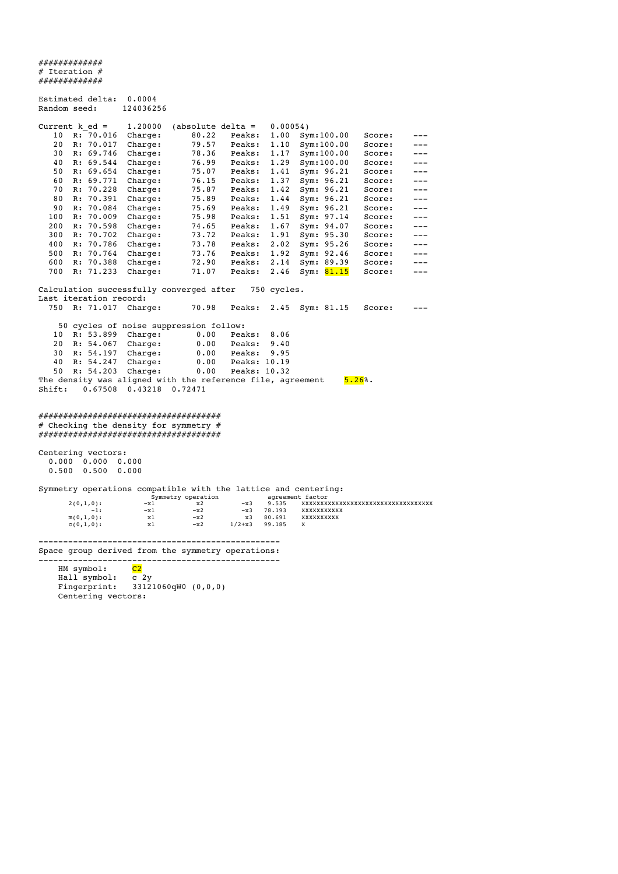############# # Iteration # ############# Estimated delta: 0.0004<br>Random seed: 124036256 Random seed: Current k\_ed = 1.20000 (absolute delta = 0.00054)<br>10 R: 70.016 Charge: 80.22 Peaks: 1.00 Svi 10 R: 70.016 Charge: 80.22 Peaks: 1.00 Sym:100.00 Score: --- 20 R: 70.017 Charge: 79.57 Peaks: 1.10 Sym:100.00 Score: --- 30 R: 69.746 Charge: 78.36 Peaks: 1.17 Sym:100.00 Score: --- 40 R: 69.544 Charge: 76.99 Peaks: 1.29 Sym:100.00 Score: --- 50 R: 69.654 Charge: 75.07 Peaks: 1.41 Sym: 96.21 Score: --- 60 R: 69.771 Charge: 76.15 Peaks: 1.37 Sym: 96.21 Score: --- 70 R: 70.228 Charge: 75.87 Peaks: 1.42 Sym: 96.21 Score: --- 80 R: 70.391 Charge: 75.89 Peaks: 1.44 Sym: 96.21 Score: --- 90 R: 70.084 Charge: 75.69 Peaks: 1.49 Sym: 96.21 Score: --- 100 R: 70.009 Charge: 75.98 Peaks: 1.51 Sym: 97.14 Score: --- 200 R: 70.598 Charge: 74.65 Peaks: 1.67 Sym: 94.07 Score: --- 300 R: 70.702 Charge: 73.72 Peaks: 1.91 Sym: 95.30 Score: --- 400 R: 70.786 Charge: 73.78 Peaks: 2.02 Sym: 95.26 Score: --- 500 R: 70.764 Charge: 73.76 Peaks: 1.92 Sym: 92.46 Score: --- 600 R: 70.388 Charge: 72.90 Peaks: 2.14 Sym: 89.39 Score: --- 700 R: 71.233 Charge: 71.07 Peaks: 2.46 Sym: <mark>81.15</mark> Score: ---Calculation successfully converged after 750 cycles. Last iteration record:<br>750 R: 71.017 Charge: 70.98 Peaks: 2.45 Sym: 81.15 Score: --- 50 cycles of noise suppression follow: 10 R: 53.899 Charge: 0.00 Peaks: 8.06<br>
20 R: 54.067 Charge: 0.00 Peaks: 9.40<br>
30 R: 54.197 Charge: 0.00 Peaks: 9.95 20 R: 54.067 Charge: 0.00 Peaks: 9.40 30 R: 54.197 Charge: 0.00 Peaks: 9.95 40 R: 54.247 Charge: 0.00 Peaks: 10.19 50 R: 54.203 Charge: 0.00 Peaks: 10.32 The density was aligned with the reference file, agreement  $5.26\%$ . Shift: 0.67508 0.43218 0.72471 ##################################### # Checking the density for symmetry # ##################################### Centering vectors: 0.000 0.000 0.000 0.500 0.500 0.000 Symmetry operations compatible with the lattice and centering: Symmetry operation agreement factor 2(0,1,0): -x1 x2 -x3 9.535 XXXXXXXXXXXXXXXXXXXXXXXXXXXXXXXXXXX -1: -x1 -x2 -x3 78.193 XXXXXXXXXXX m(0,1,0):<br>  $x$ 1 -x2 x3<br>
c(0,1,0):<br>  $x$ 1 -x2 x3<br>  $x$ 3<br>  $-x$ 2 1/2+x3  $c(0,1,0):$  x1  $-x2$   $1/2+x3$  99.185 X ------------------------------------------------- Space group derived from the symmetry operations: -------------------------------------------------  $HM$  symbol:  $C2$  Hall symbol: c 2y Fingerprint: 33121060qW0 (0,0,0) Centering vectors: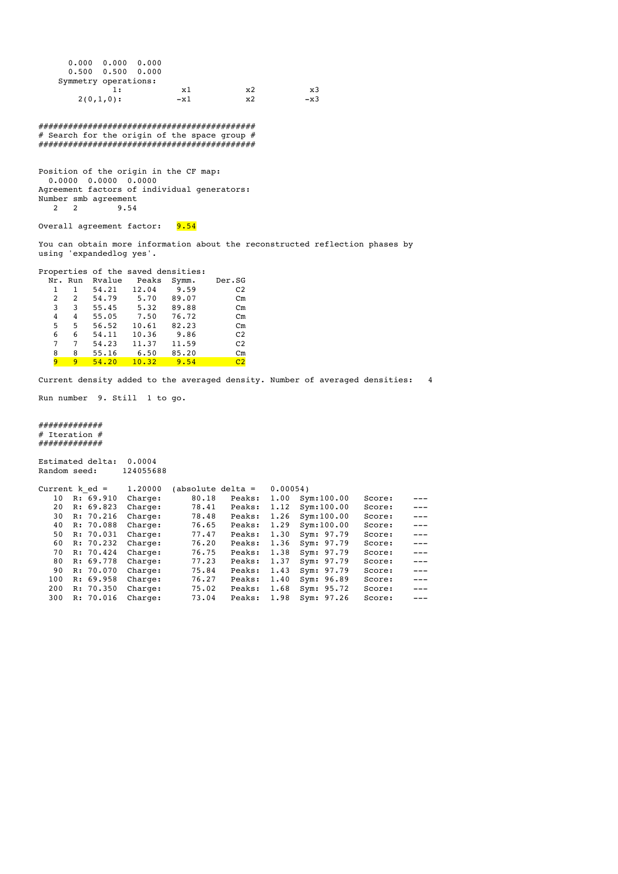| $0.000 \t 0.000 \t 0.000$ |     |       |    |       |
|---------------------------|-----|-------|----|-------|
| $0.500$ $0.500$ $0.000$   |     |       |    |       |
| Symmetry operations:      |     |       |    |       |
|                           | 1 : | x1    | x2 | x3    |
| $2(0,1,0)$ :              |     | $-x1$ | x2 | $-x3$ |

############################################ # Search for the origin of the space group # ############################################

Position of the origin in the CF map: 0.0000 0.0000 0.0000 Agreement factors of individual generators: Number smb agreement<br>2 2 3 9.54 2 2 9.54

Overall agreement factor: 9.54

You can obtain more information about the reconstructed reflection phases by using 'expandedlog yes'.

|         |   |        | Properties of the saved densities: |       |                |
|---------|---|--------|------------------------------------|-------|----------------|
| Nr. Run |   | Rvalue | Peaks                              | Symm. | Der.SG         |
| 1       | 1 | 54.21  | 12.04                              | 9.59  | C <sub>2</sub> |
| 2       | 2 | 54.79  | 5.70                               | 89.07 | $cm$           |
| 3       | 3 | 55.45  | 5.32                               | 89.88 | $cm$           |
| 4       | 4 | 55.05  | 7.50                               | 76.72 | $cm$           |
| 5       | 5 | 56.52  | 10.61                              | 82.23 | $cm$           |
| 6       | 6 | 54.11  | 10.36                              | 9.86  | C2             |
| 7       | 7 | 54.23  | 11.37                              | 11.59 | C <sub>2</sub> |
| 8       | 8 | 55.16  | 6.50                               | 85.20 | $cm$           |
| q       | q | 54.20  | 10.32                              | 9.54  | C2             |

Current density added to the averaged density. Number of averaged densities: 4

Run number 9. Still 1 to go.

#### ############# # Iteration # .<br>##############

| Random seed:     |    | Estimated delta: | 0.0004<br>124055688 |                   |        |         |               |        |       |
|------------------|----|------------------|---------------------|-------------------|--------|---------|---------------|--------|-------|
| Current $k$ ed = |    |                  | 1,20000             | (absolute delta = |        | 0.00054 |               |        |       |
| 10               |    | R: 69.910        | Charge:             | 80.18             | Peaks: | 1.00    | Sym:100.00    | Score: |       |
| 20               |    | R: 69.823        | Charge:             | 78.41             | Peaks: | 1.12    | Svm:100.00    | Score: |       |
| 30               | R: | 70.216           | Charge:             | 78.48             | Peaks: | 1.26    | Svm:100.00    | Score: | $---$ |
| 40               |    | R: 70.088        | Charge:             | 76.65             | Peaks: | 1.29    | Sym:100.00    | Score: | $---$ |
| 50               | R: | 70.031           | Charge:             | 77.47             | Peaks: | 1.30    | Sym: 97.79    | Score: | $---$ |
| 60               |    | R: 70.232        | Charge:             | 76.20             | Peaks: | 1.36    | Sym: 97.79    | Score: | $---$ |
| 70               |    | R: 70.424        | Charge:             | 76.75             | Peaks: | 1.38    | Sym: 97.79    | Score: | $---$ |
| 80               |    | R: 69.778        | Charge:             | 77.23             | Peaks: | 1.37    | Sym: 97.79    | Score: | $---$ |
| 90               |    | R: 70.070        | Charge:             | 75.84             | Peaks: | 1.43    | 97.79<br>Sym: | Score: | $---$ |
| 100              |    | R: 69.958        | Charge:             | 76.27             | Peaks: | 1.40    | Sym: 96.89    | Score: | $---$ |
| 200              | R: | 70.350           | Charge:             | 75.02             | Peaks: | 1.68    | 95.72<br>Svm: | Score: | $---$ |
| 300              | R: | 70.016           | Charge:             | 73.04             | Peaks: | 1.98    | 97.26<br>Sym: | Score: |       |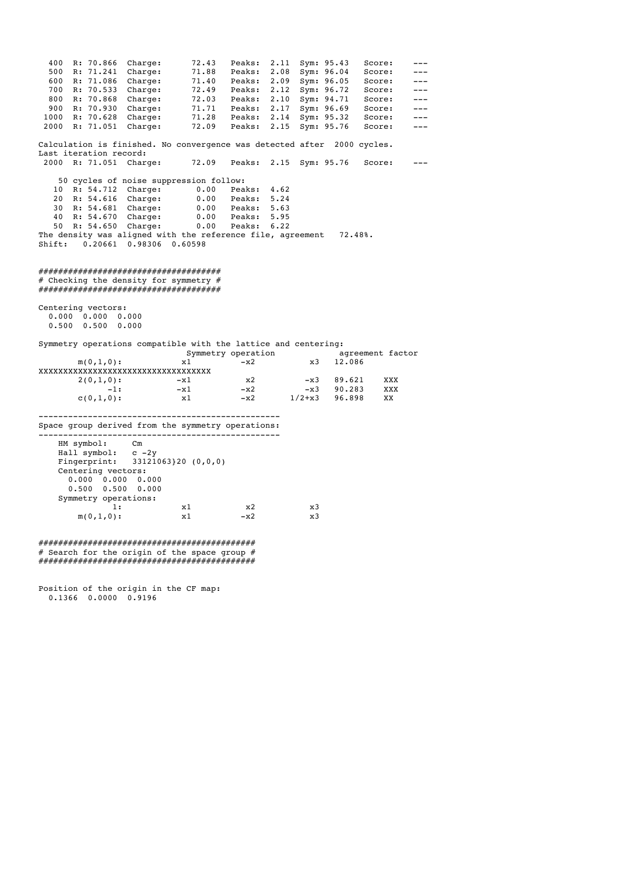400 R: 70.866 Charge: 72.43 Peaks: 2.11 Sym: 95.43 Score: --- 500 R: 71.241 Charge: 71.88 Peaks: 2.08 Sym: 96.04 Score: --- 600 R: 71.086 Charge: 71.40 Peaks: 2.09 Sym: 96.05 Score: --- 700 R: 70.533 Charge: 72.49 Peaks: 2.12 Sym: 96.72 Score: --- 800 R: 70.868 Charge: 72.03 Peaks: 2.10 Sym: 94.71 Score: --- 900 R: 70.930 Charge: 71.71 Peaks: 2.17 Sym: 96.69 Score: --- 1000 R: 70.628 Charge: 71.28 Peaks: 2.14 Sym: 95.32 Score: --- 2000 R: 71.051 Charge: 72.09 Peaks: 2.15 Sym: 95.76 Score: --- Calculation is finished. No convergence was detected after 2000 cycles. Last iteration record:<br>2000 R: 71.051 Charge: 72.09 Peaks: 2.15 Sym: 95.76 Score: --- 50 cycles of noise suppression follow: 10 R: 54.712 Charge: 0.00 Peaks: 4.62 20 R: 54.616 Charge: 0.00 Peaks: 5.24 30 R: 54.681 Charge: 0.00 Peaks: 5.63 40 R: 54.670 Charge: 0.00 Peaks: 5.95 50 R: 54.650 Charge: 0.00 Peaks: 6.22 The density was aligned with the reference file, agreement 72.48%. Shift: 0.20661 0.98306 0.60598 ##################################### # Checking the density for symmetry # ##################################### Centering vectors: 0.000 0.000 0.000 0.500 0.500 0.000 Symmetry operations compatible with the lattice and centering: Symmetry operation<br>
symmetry operation<br>
x1 -x2 x3 12.086  $m(0,1,0):$  x1  $-x2$  x3 12.086 XXXXXXXXXXXXXXXXXXXXXXXXXXXXXXXXXXX  $2(0,1,0):$   $-x1$   $x2$   $-x3$  89.621 XXX -1: -x1 -x2 -x3 89.621 XXX<br>
-1: -x1 -x2 -x3 90.283 XXX<br>
-1: -x1 -x2 -x3 90.283 XXX  $c(0,1,0):$   $x1 - x2 - 1/2+x3 - 96.898$  XX ------------------------------------------------- Space group derived from the symmetry operations: ------------------------------------------------- HM symbol: Cm Hall symbol: c -2y Fingerprint: 33121063}20 (0,0,0) Centering vectors: 0.000 0.000 0.000 0.500 0.500 0.000 Symmetry operations:<br>1: 1: x1 x2 x3  $m(0,1,0):$  x1  $-x2$  x3 ############################################

# Search for the origin of the space group  $#$ ############################################

Position of the origin in the CF map: 0.1366 0.0000 0.9196